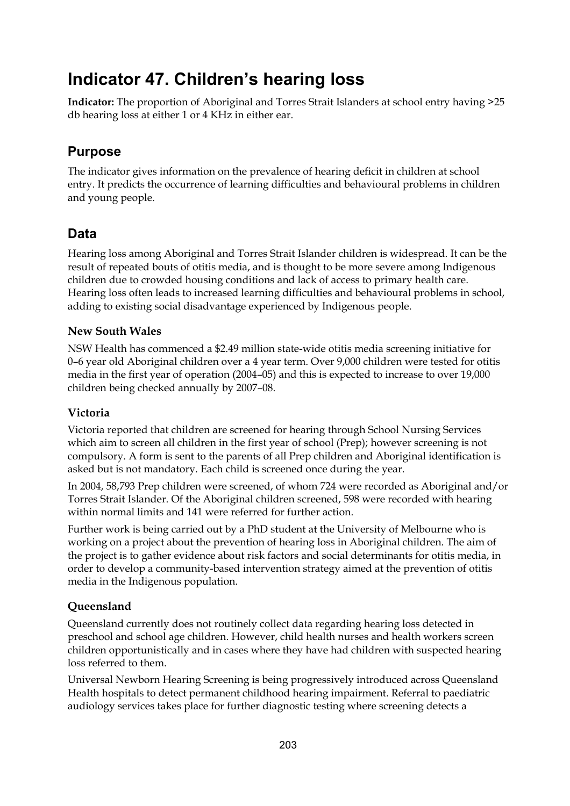# **Indicator 47. Children's hearing loss**

**Indicator:** The proportion of Aboriginal and Torres Strait Islanders at school entry having >25 db hearing loss at either 1 or 4 KHz in either ear.

# **Purpose**

The indicator gives information on the prevalence of hearing deficit in children at school entry. It predicts the occurrence of learning difficulties and behavioural problems in children and young people.

# **Data**

Hearing loss among Aboriginal and Torres Strait Islander children is widespread. It can be the result of repeated bouts of otitis media, and is thought to be more severe among Indigenous children due to crowded housing conditions and lack of access to primary health care. Hearing loss often leads to increased learning difficulties and behavioural problems in school, adding to existing social disadvantage experienced by Indigenous people.

### **New South Wales**

NSW Health has commenced a \$2.49 million state-wide otitis media screening initiative for 0–6 year old Aboriginal children over a 4 year term. Over 9,000 children were tested for otitis media in the first year of operation (2004–05) and this is expected to increase to over 19,000 children being checked annually by 2007–08.

### **Victoria**

Victoria reported that children are screened for hearing through School Nursing Services which aim to screen all children in the first year of school (Prep); however screening is not compulsory. A form is sent to the parents of all Prep children and Aboriginal identification is asked but is not mandatory. Each child is screened once during the year.

In 2004, 58,793 Prep children were screened, of whom 724 were recorded as Aboriginal and/or Torres Strait Islander. Of the Aboriginal children screened, 598 were recorded with hearing within normal limits and 141 were referred for further action.

Further work is being carried out by a PhD student at the University of Melbourne who is working on a project about the prevention of hearing loss in Aboriginal children. The aim of the project is to gather evidence about risk factors and social determinants for otitis media, in order to develop a community-based intervention strategy aimed at the prevention of otitis media in the Indigenous population.

### **Queensland**

Queensland currently does not routinely collect data regarding hearing loss detected in preschool and school age children. However, child health nurses and health workers screen children opportunistically and in cases where they have had children with suspected hearing loss referred to them.

Universal Newborn Hearing Screening is being progressively introduced across Queensland Health hospitals to detect permanent childhood hearing impairment. Referral to paediatric audiology services takes place for further diagnostic testing where screening detects a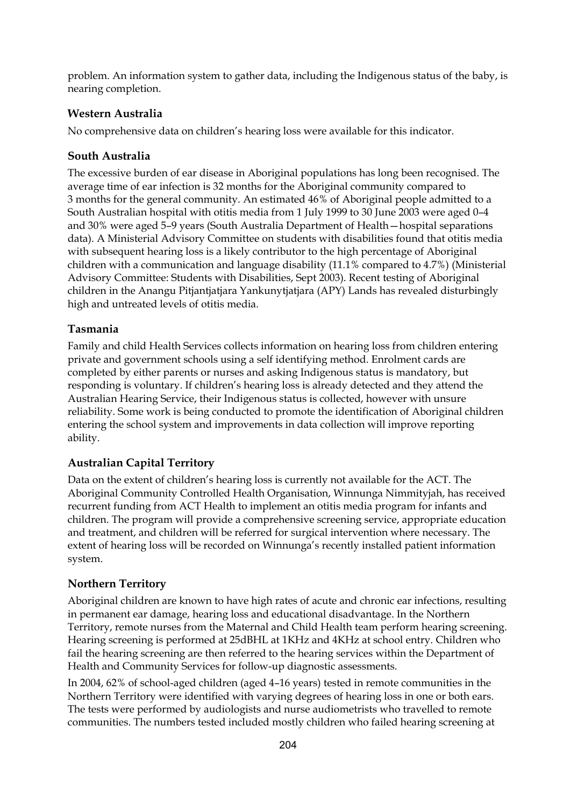problem. An information system to gather data, including the Indigenous status of the baby, is nearing completion.

### **Western Australia**

No comprehensive data on children's hearing loss were available for this indicator.

### **South Australia**

The excessive burden of ear disease in Aboriginal populations has long been recognised. The average time of ear infection is 32 months for the Aboriginal community compared to 3 months for the general community. An estimated 46% of Aboriginal people admitted to a South Australian hospital with otitis media from 1 July 1999 to 30 June 2003 were aged 0–4 and 30% were aged 5–9 years (South Australia Department of Health—hospital separations data). A Ministerial Advisory Committee on students with disabilities found that otitis media with subsequent hearing loss is a likely contributor to the high percentage of Aboriginal children with a communication and language disability (11.1% compared to 4.7%) (Ministerial Advisory Committee: Students with Disabilities, Sept 2003). Recent testing of Aboriginal children in the Anangu Pitjantjatjara Yankunytjatjara (APY) Lands has revealed disturbingly high and untreated levels of otitis media.

### **Tasmania**

Family and child Health Services collects information on hearing loss from children entering private and government schools using a self identifying method. Enrolment cards are completed by either parents or nurses and asking Indigenous status is mandatory, but responding is voluntary. If children's hearing loss is already detected and they attend the Australian Hearing Service, their Indigenous status is collected, however with unsure reliability. Some work is being conducted to promote the identification of Aboriginal children entering the school system and improvements in data collection will improve reporting ability.

### **Australian Capital Territory**

Data on the extent of children's hearing loss is currently not available for the ACT. The Aboriginal Community Controlled Health Organisation, Winnunga Nimmityjah, has received recurrent funding from ACT Health to implement an otitis media program for infants and children. The program will provide a comprehensive screening service, appropriate education and treatment, and children will be referred for surgical intervention where necessary. The extent of hearing loss will be recorded on Winnunga's recently installed patient information system.

### **Northern Territory**

Aboriginal children are known to have high rates of acute and chronic ear infections, resulting in permanent ear damage, hearing loss and educational disadvantage. In the Northern Territory, remote nurses from the Maternal and Child Health team perform hearing screening. Hearing screening is performed at 25dBHL at 1KHz and 4KHz at school entry. Children who fail the hearing screening are then referred to the hearing services within the Department of Health and Community Services for follow-up diagnostic assessments.

In 2004, 62% of school-aged children (aged 4–16 years) tested in remote communities in the Northern Territory were identified with varying degrees of hearing loss in one or both ears. The tests were performed by audiologists and nurse audiometrists who travelled to remote communities. The numbers tested included mostly children who failed hearing screening at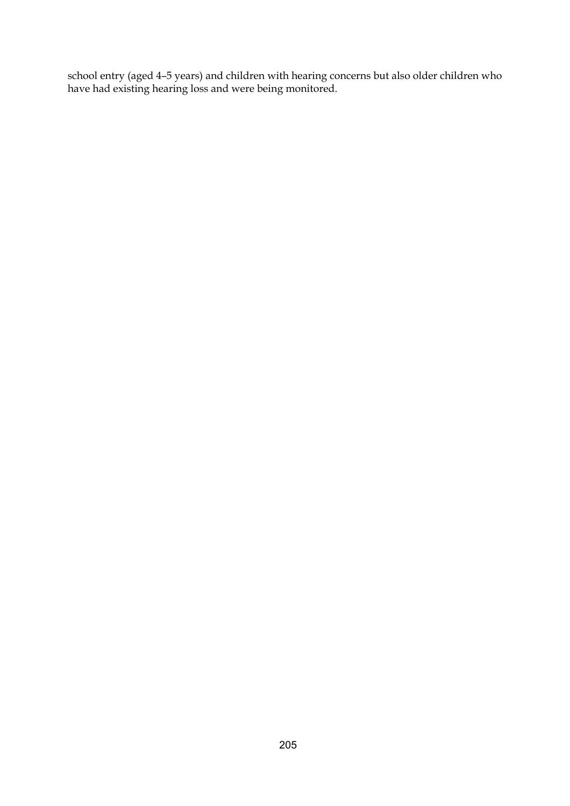school entry (aged 4–5 years) and children with hearing concerns but also older children who have had existing hearing loss and were being monitored.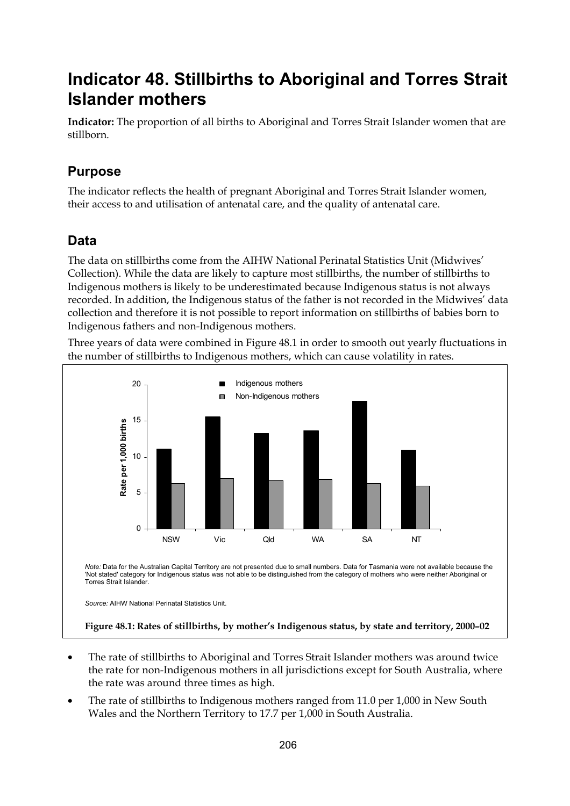# **Indicator 48. Stillbirths to Aboriginal and Torres Strait Islander mothers**

**Indicator:** The proportion of all births to Aboriginal and Torres Strait Islander women that are stillborn.

# **Purpose**

The indicator reflects the health of pregnant Aboriginal and Torres Strait Islander women, their access to and utilisation of antenatal care, and the quality of antenatal care.

## **Data**

The data on stillbirths come from the AIHW National Perinatal Statistics Unit (Midwives' Collection). While the data are likely to capture most stillbirths, the number of stillbirths to Indigenous mothers is likely to be underestimated because Indigenous status is not always recorded. In addition, the Indigenous status of the father is not recorded in the Midwives' data collection and therefore it is not possible to report information on stillbirths of babies born to Indigenous fathers and non-Indigenous mothers.

Three years of data were combined in Figure 48.1 in order to smooth out yearly fluctuations in the number of stillbirths to Indigenous mothers, which can cause volatility in rates.



- The rate of stillbirths to Aboriginal and Torres Strait Islander mothers was around twice the rate for non-Indigenous mothers in all jurisdictions except for South Australia, where the rate was around three times as high.
- The rate of stillbirths to Indigenous mothers ranged from 11.0 per 1,000 in New South Wales and the Northern Territory to 17.7 per 1,000 in South Australia.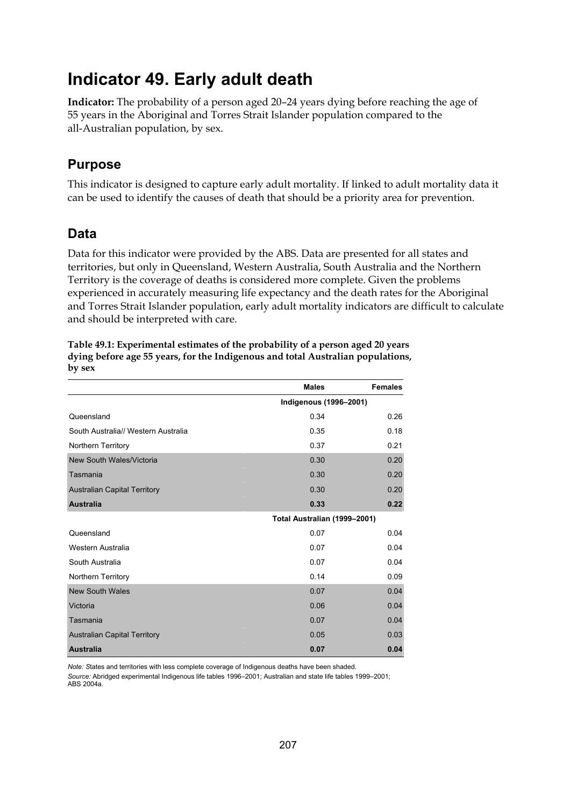# **Indicator 49. Early adult death**

**Indicator:** The probability of a person aged 20–24 years dying before reaching the age of 55 years in the Aboriginal and Torres Strait Islander population compared to the all-Australian population, by sex.

## **Purpose**

This indicator is designed to capture early adult mortality. If linked to adult mortality data it can be used to identify the causes of death that should be a priority area for prevention.

## **Data**

Data for this indicator were provided by the ABS. Data are presented for all states and territories, but only in Queensland, Western Australia, South Australia and the Northern Territory is the coverage of deaths is considered more complete. Given the problems experienced in accurately measuring life expectancy and the death rates for the Aboriginal and Torres Strait Islander population, early adult mortality indicators are difficult to calculate and should be interpreted with care.

|                                     | <b>Males</b>                  | <b>Females</b> |
|-------------------------------------|-------------------------------|----------------|
|                                     | <b>Indigenous (1996-2001)</b> |                |
| Queensland                          | 0.34                          | 0.26           |
| South Australia// Western Australia | 0.35                          | 0.18           |
| Northern Territory                  | 0.37                          | 0.21           |
| New South Wales/Victoria            | 0.30                          | 0.20           |
| Tasmania                            | 0.30                          | 0.20           |
| <b>Australian Capital Territory</b> | 0.30                          | 0.20           |
| <b>Australia</b>                    | 0.33                          | 0.22           |
|                                     | Total Australian (1999-2001)  |                |
| Queensland                          | 0.07                          | 0.04           |
| Western Australia                   | 0.07                          | 0.04           |
| South Australia                     | 0.07                          | 0.04           |
| Northern Territory                  | 0.14                          | 0.09           |
| <b>New South Wales</b>              | 0.07                          | 0.04           |
| Victoria                            | 0.06                          | 0.04           |
| Tasmania                            | 0.07                          | 0.04           |
| <b>Australian Capital Territory</b> | 0.05                          | 0.03           |
| <b>Australia</b>                    | 0.07                          | 0.04           |

**Table 49.1: Experimental estimates of the probability of a person aged 20 years dying before age 55 years, for the Indigenous and total Australian populations, by sex** 

*Note: S*tates and territories with less complete coverage of Indigenous deaths have been shaded.

*Source:* Abridged experimental Indigenous life tables 1996–2001; Australian and state life tables 1999–2001; ABS 2004a.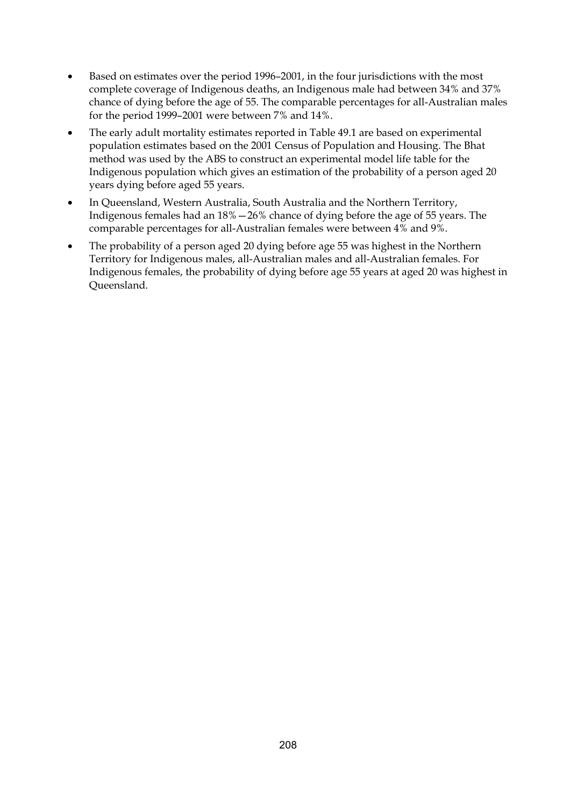- Based on estimates over the period 1996–2001, in the four jurisdictions with the most complete coverage of Indigenous deaths, an Indigenous male had between 34% and 37% chance of dying before the age of 55. The comparable percentages for all-Australian males for the period 1999–2001 were between 7% and 14%.
- The early adult mortality estimates reported in Table 49.1 are based on experimental population estimates based on the 2001 Census of Population and Housing. The Bhat method was used by the ABS to construct an experimental model life table for the Indigenous population which gives an estimation of the probability of a person aged 20 years dying before aged 55 years.
- In Queensland, Western Australia, South Australia and the Northern Territory, Indigenous females had an 18%—26% chance of dying before the age of 55 years. The comparable percentages for all-Australian females were between 4% and 9%.
- The probability of a person aged 20 dying before age 55 was highest in the Northern Territory for Indigenous males, all-Australian males and all-Australian females. For Indigenous females, the probability of dying before age 55 years at aged 20 was highest in Queensland.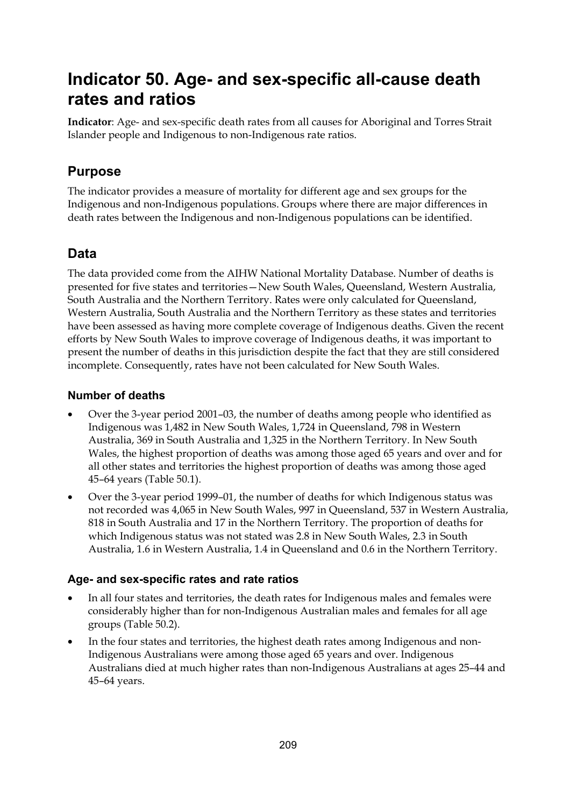# **Indicator 50. Age- and sex-specific all-cause death rates and ratios**

**Indicator**: Age- and sex-specific death rates from all causes for Aboriginal and Torres Strait Islander people and Indigenous to non-Indigenous rate ratios.

# **Purpose**

The indicator provides a measure of mortality for different age and sex groups for the Indigenous and non-Indigenous populations. Groups where there are major differences in death rates between the Indigenous and non-Indigenous populations can be identified.

# **Data**

The data provided come from the AIHW National Mortality Database. Number of deaths is presented for five states and territories—New South Wales, Queensland, Western Australia, South Australia and the Northern Territory. Rates were only calculated for Queensland, Western Australia, South Australia and the Northern Territory as these states and territories have been assessed as having more complete coverage of Indigenous deaths. Given the recent efforts by New South Wales to improve coverage of Indigenous deaths, it was important to present the number of deaths in this jurisdiction despite the fact that they are still considered incomplete. Consequently, rates have not been calculated for New South Wales.

### **Number of deaths**

- Over the 3-year period 2001–03, the number of deaths among people who identified as Indigenous was 1,482 in New South Wales, 1,724 in Queensland, 798 in Western Australia, 369 in South Australia and 1,325 in the Northern Territory. In New South Wales, the highest proportion of deaths was among those aged 65 years and over and for all other states and territories the highest proportion of deaths was among those aged 45–64 years (Table 50.1).
- Over the 3-year period 1999–01, the number of deaths for which Indigenous status was not recorded was 4,065 in New South Wales, 997 in Queensland, 537 in Western Australia, 818 in South Australia and 17 in the Northern Territory. The proportion of deaths for which Indigenous status was not stated was 2.8 in New South Wales, 2.3 in South Australia, 1.6 in Western Australia, 1.4 in Queensland and 0.6 in the Northern Territory.

### **Age- and sex-specific rates and rate ratios**

- In all four states and territories, the death rates for Indigenous males and females were considerably higher than for non-Indigenous Australian males and females for all age groups (Table 50.2).
- In the four states and territories, the highest death rates among Indigenous and non-Indigenous Australians were among those aged 65 years and over. Indigenous Australians died at much higher rates than non-Indigenous Australians at ages 25–44 and 45–64 years.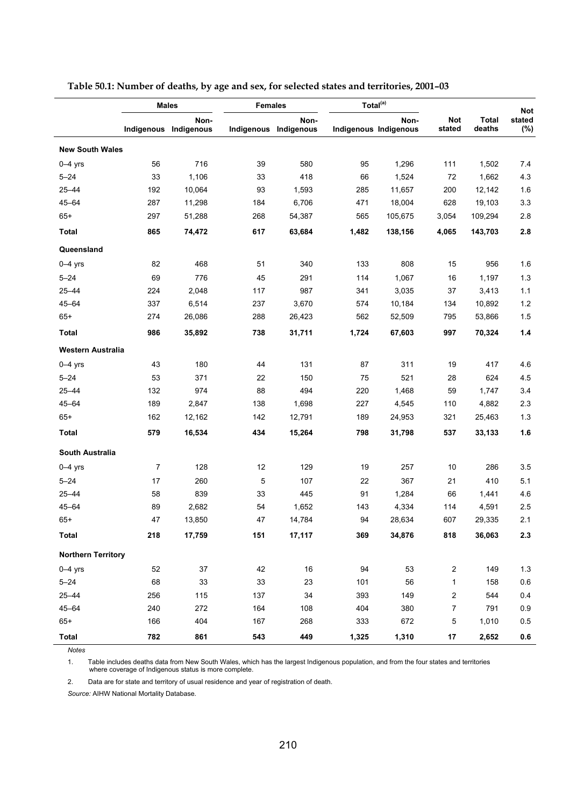|                           |                | <b>Males</b>                  | <b>Females</b> |                               | Total <sup>(a)</sup> |                               |                      |                        | <b>Not</b>    |
|---------------------------|----------------|-------------------------------|----------------|-------------------------------|----------------------|-------------------------------|----------------------|------------------------|---------------|
|                           |                | Non-<br>Indigenous Indigenous |                | Non-<br>Indigenous Indigenous |                      | Non-<br>Indigenous Indigenous | <b>Not</b><br>stated | <b>Total</b><br>deaths | stated<br>(%) |
| <b>New South Wales</b>    |                |                               |                |                               |                      |                               |                      |                        |               |
| $0-4$ yrs                 | 56             | 716                           | 39             | 580                           | 95                   | 1,296                         | 111                  | 1,502                  | 7.4           |
| $5 - 24$                  | 33             | 1,106                         | 33             | 418                           | 66                   | 1,524                         | 72                   | 1,662                  | 4.3           |
| $25 - 44$                 | 192            | 10,064                        | 93             | 1,593                         | 285                  | 11,657                        | 200                  | 12,142                 | 1.6           |
| $45 - 64$                 | 287            | 11,298                        | 184            | 6,706                         | 471                  | 18,004                        | 628                  | 19,103                 | 3.3           |
| $65+$                     | 297            | 51,288                        | 268            | 54,387                        | 565                  | 105,675                       | 3,054                | 109,294                | $2.8\,$       |
| <b>Total</b>              | 865            | 74,472                        | 617            | 63,684                        | 1,482                | 138,156                       | 4,065                | 143,703                | 2.8           |
| Queensland                |                |                               |                |                               |                      |                               |                      |                        |               |
| $0-4$ yrs                 | 82             | 468                           | 51             | 340                           | 133                  | 808                           | 15                   | 956                    | 1.6           |
| $5 - 24$                  | 69             | 776                           | 45             | 291                           | 114                  | 1,067                         | 16                   | 1,197                  | 1.3           |
| $25 - 44$                 | 224            | 2,048                         | 117            | 987                           | 341                  | 3,035                         | 37                   | 3,413                  | 1.1           |
| $45 - 64$                 | 337            | 6,514                         | 237            | 3,670                         | 574                  | 10,184                        | 134                  | 10,892                 | $1.2$         |
| $65+$                     | 274            | 26,086                        | 288            | 26,423                        | 562                  | 52,509                        | 795                  | 53,866                 | 1.5           |
| <b>Total</b>              | 986            | 35,892                        | 738            | 31,711                        | 1,724                | 67,603                        | 997                  | 70,324                 | $1.4$         |
| Western Australia         |                |                               |                |                               |                      |                               |                      |                        |               |
| $0-4$ yrs                 | 43             | 180                           | 44             | 131                           | 87                   | 311                           | 19                   | 417                    | 4.6           |
| $5 - 24$                  | 53             | 371                           | 22             | 150                           | 75                   | 521                           | 28                   | 624                    | 4.5           |
| 25-44                     | 132            | 974                           | 88             | 494                           | 220                  | 1,468                         | 59                   | 1,747                  | 3.4           |
| $45 - 64$                 | 189            | 2,847                         | 138            | 1,698                         | 227                  | 4,545                         | 110                  | 4,882                  | 2.3           |
| $65+$                     | 162            | 12,162                        | 142            | 12,791                        | 189                  | 24,953                        | 321                  | 25,463                 | 1.3           |
| Total                     | 579            | 16,534                        | 434            | 15,264                        | 798                  | 31,798                        | 537                  | 33,133                 | 1.6           |
| South Australia           |                |                               |                |                               |                      |                               |                      |                        |               |
| $0-4$ yrs                 | $\overline{7}$ | 128                           | 12             | 129                           | 19                   | 257                           | 10                   | 286                    | 3.5           |
| $5 - 24$                  | 17             | 260                           | 5              | 107                           | 22                   | 367                           | 21                   | 410                    | 5.1           |
| $25 - 44$                 | 58             | 839                           | 33             | 445                           | 91                   | 1,284                         | 66                   | 1,441                  | 4.6           |
| $45 - 64$                 | 89             | 2,682                         | 54             | 1,652                         | 143                  | 4,334                         | 114                  | 4,591                  | 2.5           |
| $65+$                     | 47             | 13,850                        | 47             | 14,784                        | 94                   | 28,634                        | 607                  | 29,335                 | 2.1           |
| <b>Total</b>              | 218            | 17,759                        | 151            | 17,117                        | 369                  | 34,876                        | 818                  | 36,063                 | 2.3           |
| <b>Northern Territory</b> |                |                               |                |                               |                      |                               |                      |                        |               |
| $0 - 4$ yrs               | 52             | 37                            | 42             | 16                            | 94                   | 53                            | $\overline{c}$       | 149                    | $1.3$         |
| $5 - 24$                  | 68             | 33                            | 33             | 23                            | 101                  | 56                            | $\mathbf{1}$         | 158                    | 0.6           |
| $25 - 44$                 | 256            | 115                           | 137            | 34                            | 393                  | 149                           | 2                    | 544                    | 0.4           |
| $45 - 64$                 | 240            | 272                           | 164            | 108                           | 404                  | 380                           | $\overline{7}$       | 791                    | 0.9           |
| $65+$                     | 166            | 404                           | 167            | 268                           | 333                  | 672                           | 5                    | 1,010                  | 0.5           |
| <b>Total</b>              | 782            | 861                           | 543            | 449                           | 1,325                | 1,310                         | 17                   | 2,652                  | $0.6\,$       |

**Table 50.1: Number of deaths, by age and sex, for selected states and territories, 2001–03** 

*Notes* 

1. Table includes deaths data from New South Wales, which has the largest Indigenous population, and from the four states and territories where coverage of Indigenous status is more complete.

2. Data are for state and territory of usual residence and year of registration of death.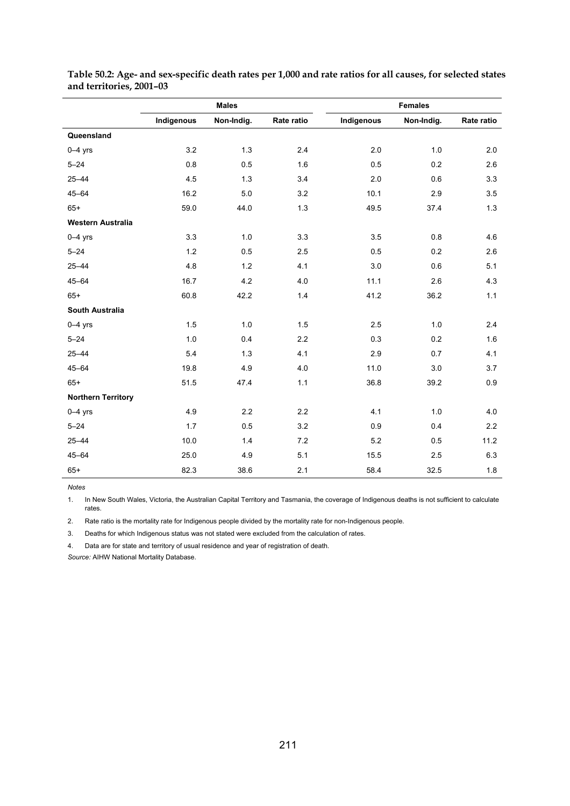|                           | <b>Males</b> |            |            | <b>Females</b> |            |            |  |
|---------------------------|--------------|------------|------------|----------------|------------|------------|--|
|                           | Indigenous   | Non-Indig. | Rate ratio | Indigenous     | Non-Indig. | Rate ratio |  |
| Queensland                |              |            |            |                |            |            |  |
| $0-4$ yrs                 | 3.2          | 1.3        | 2.4        | 2.0            | 1.0        | 2.0        |  |
| $5 - 24$                  | 0.8          | 0.5        | 1.6        | 0.5            | 0.2        | 2.6        |  |
| $25 - 44$                 | 4.5          | 1.3        | 3.4        | 2.0            | 0.6        | 3.3        |  |
| $45 - 64$                 | 16.2         | 5.0        | 3.2        | 10.1           | 2.9        | 3.5        |  |
| $65+$                     | 59.0         | 44.0       | 1.3        | 49.5           | 37.4       | 1.3        |  |
| <b>Western Australia</b>  |              |            |            |                |            |            |  |
| $0-4$ yrs                 | 3.3          | 1.0        | 3.3        | 3.5            | $0.8\,$    | 4.6        |  |
| $5 - 24$                  | 1.2          | 0.5        | 2.5        | 0.5            | 0.2        | 2.6        |  |
| $25 - 44$                 | 4.8          | 1.2        | 4.1        | 3.0            | 0.6        | 5.1        |  |
| $45 - 64$                 | 16.7         | 4.2        | 4.0        | 11.1           | 2.6        | 4.3        |  |
| $65+$                     | 60.8         | 42.2       | 1.4        | 41.2           | 36.2       | 1.1        |  |
| <b>South Australia</b>    |              |            |            |                |            |            |  |
| $0 - 4$ yrs               | 1.5          | 1.0        | 1.5        | 2.5            | 1.0        | 2.4        |  |
| $5 - 24$                  | 1.0          | 0.4        | 2.2        | 0.3            | 0.2        | 1.6        |  |
| $25 - 44$                 | 5.4          | 1.3        | 4.1        | 2.9            | 0.7        | 4.1        |  |
| $45 - 64$                 | 19.8         | 4.9        | 4.0        | 11.0           | 3.0        | 3.7        |  |
| $65+$                     | 51.5         | 47.4       | 1.1        | 36.8           | 39.2       | 0.9        |  |
| <b>Northern Territory</b> |              |            |            |                |            |            |  |
| $0-4$ yrs                 | 4.9          | 2.2        | 2.2        | 4.1            | 1.0        | 4.0        |  |
| $5 - 24$                  | 1.7          | 0.5        | 3.2        | 0.9            | 0.4        | 2.2        |  |
| $25 - 44$                 | 10.0         | 1.4        | 7.2        | 5.2            | 0.5        | 11.2       |  |
| $45 - 64$                 | 25.0         | 4.9        | 5.1        | 15.5           | 2.5        | 6.3        |  |
| $65+$                     | 82.3         | 38.6       | 2.1        | 58.4           | 32.5       | 1.8        |  |

**Table 50.2: Age- and sex-specific death rates per 1,000 and rate ratios for all causes, for selected states and territories, 2001–03** 

*Notes* 

l,

1. In New South Wales, Victoria, the Australian Capital Territory and Tasmania, the coverage of Indigenous deaths is not sufficient to calculate rates.

2. Rate ratio is the mortality rate for Indigenous people divided by the mortality rate for non-Indigenous people.

3. Deaths for which Indigenous status was not stated were excluded from the calculation of rates.

4. Data are for state and territory of usual residence and year of registration of death.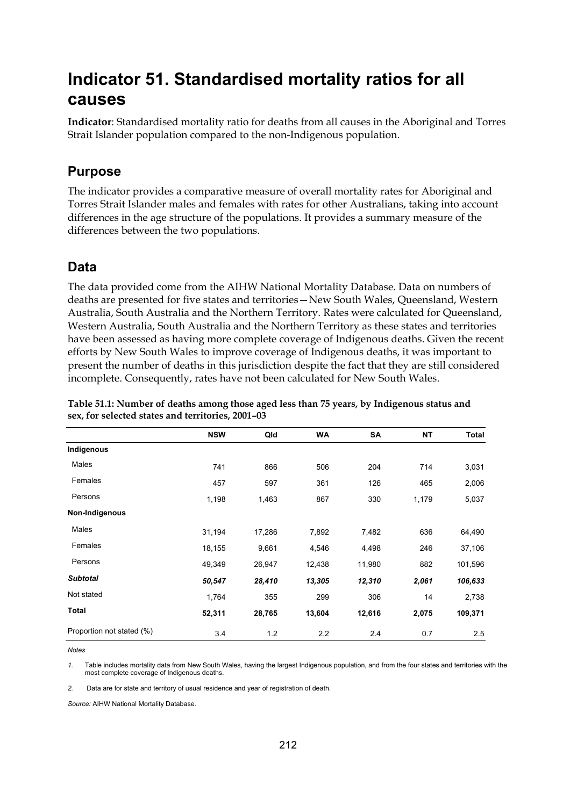# **Indicator 51. Standardised mortality ratios for all causes**

**Indicator**: Standardised mortality ratio for deaths from all causes in the Aboriginal and Torres Strait Islander population compared to the non-Indigenous population.

## **Purpose**

The indicator provides a comparative measure of overall mortality rates for Aboriginal and Torres Strait Islander males and females with rates for other Australians, taking into account differences in the age structure of the populations. It provides a summary measure of the differences between the two populations.

## **Data**

The data provided come from the AIHW National Mortality Database. Data on numbers of deaths are presented for five states and territories—New South Wales, Queensland, Western Australia, South Australia and the Northern Territory. Rates were calculated for Queensland, Western Australia, South Australia and the Northern Territory as these states and territories have been assessed as having more complete coverage of Indigenous deaths. Given the recent efforts by New South Wales to improve coverage of Indigenous deaths, it was important to present the number of deaths in this jurisdiction despite the fact that they are still considered incomplete. Consequently, rates have not been calculated for New South Wales.

|                           | <b>NSW</b> | Qld    | <b>WA</b> | <b>SA</b> | <b>NT</b> | Total   |
|---------------------------|------------|--------|-----------|-----------|-----------|---------|
| Indigenous                |            |        |           |           |           |         |
| Males                     | 741        | 866    | 506       | 204       | 714       | 3,031   |
| Females                   | 457        | 597    | 361       | 126       | 465       | 2,006   |
| Persons                   | 1,198      | 1,463  | 867       | 330       | 1,179     | 5,037   |
| Non-Indigenous            |            |        |           |           |           |         |
| Males                     | 31,194     | 17,286 | 7,892     | 7,482     | 636       | 64,490  |
| Females                   | 18,155     | 9,661  | 4,546     | 4,498     | 246       | 37,106  |
| Persons                   | 49,349     | 26,947 | 12,438    | 11,980    | 882       | 101,596 |
| <b>Subtotal</b>           | 50,547     | 28,410 | 13,305    | 12,310    | 2,061     | 106,633 |
| Not stated                | 1,764      | 355    | 299       | 306       | 14        | 2,738   |
| <b>Total</b>              | 52,311     | 28,765 | 13,604    | 12,616    | 2,075     | 109,371 |
| Proportion not stated (%) | 3.4        | 1.2    | 2.2       | 2.4       | 0.7       | 2.5     |

**Table 51.1: Number of deaths among those aged less than 75 years, by Indigenous status and sex, for selected states and territories, 2001–03** 

*Notes* 

*1.* Table includes mortality data from New South Wales, having the largest Indigenous population, and from the four states and territories with the most complete coverage of Indigenous deaths.

*2.* Data are for state and territory of usual residence and year of registration of death.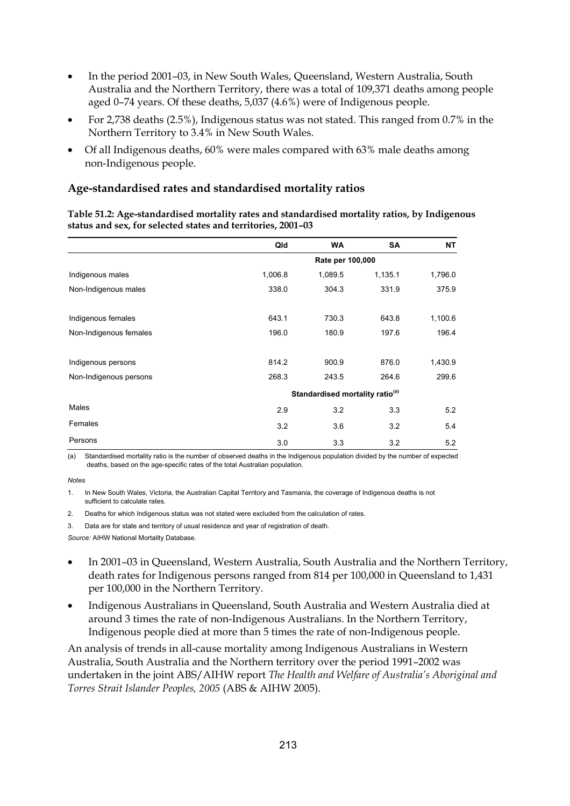- In the period 2001–03, in New South Wales, Queensland, Western Australia, South Australia and the Northern Territory, there was a total of 109,371 deaths among people aged 0–74 years. Of these deaths, 5,037 (4.6%) were of Indigenous people.
- For 2,738 deaths (2.5%), Indigenous status was not stated. This ranged from 0.7% in the Northern Territory to 3.4% in New South Wales.
- Of all Indigenous deaths, 60% were males compared with 63% male deaths among non-Indigenous people.

| Table 51.2: Age-standardised mortality rates and standardised mortality ratios, by Indigenous |
|-----------------------------------------------------------------------------------------------|
| status and sex, for selected states and territories, 2001–03                                  |

|                        | Qld     | <b>WA</b>        | SA                                          | <b>NT</b> |  |
|------------------------|---------|------------------|---------------------------------------------|-----------|--|
|                        |         | Rate per 100,000 |                                             |           |  |
| Indigenous males       | 1,006.8 | 1,089.5          | 1,135.1                                     | 1,796.0   |  |
| Non-Indigenous males   | 338.0   | 304.3            | 331.9                                       | 375.9     |  |
| Indigenous females     | 643.1   | 730.3            | 643.8                                       | 1,100.6   |  |
| Non-Indigenous females | 196.0   | 180.9            | 197.6                                       | 196.4     |  |
| Indigenous persons     | 814.2   | 900.9            | 876.0                                       | 1,430.9   |  |
| Non-Indigenous persons | 268.3   | 243.5            | 264.6                                       | 299.6     |  |
|                        |         |                  | Standardised mortality ratio <sup>(a)</sup> |           |  |
| Males                  | 2.9     | 3.2              | 3.3                                         | 5.2       |  |
| Females                | 3.2     | 3.6              | 3.2                                         | 5.4       |  |
| Persons                | 3.0     | 3.3              | 3.2                                         | 5.2       |  |

(a) Standardised mortality ratio is the number of observed deaths in the Indigenous population divided by the number of expected deaths, based on the age-specific rates of the total Australian population.

#### *Notes*

1. In New South Wales, Victoria, the Australian Capital Territory and Tasmania, the coverage of Indigenous deaths is not sufficient to calculate rates.

- 2. Deaths for which Indigenous status was not stated were excluded from the calculation of rates.
- 3. Data are for state and territory of usual residence and year of registration of death.

*Source:* AIHW National Mortality Database.

- In 2001–03 in Queensland, Western Australia, South Australia and the Northern Territory, death rates for Indigenous persons ranged from 814 per 100,000 in Queensland to 1,431 per 100,000 in the Northern Territory.
- Indigenous Australians in Queensland, South Australia and Western Australia died at around 3 times the rate of non-Indigenous Australians. In the Northern Territory, Indigenous people died at more than 5 times the rate of non-Indigenous people.

An analysis of trends in all-cause mortality among Indigenous Australians in Western Australia, South Australia and the Northern territory over the period 1991–2002 was undertaken in the joint ABS/AIHW report *The Health and Welfare of Australia's Aboriginal and Torres Strait Islander Peoples, 2005* (ABS & AIHW 2005).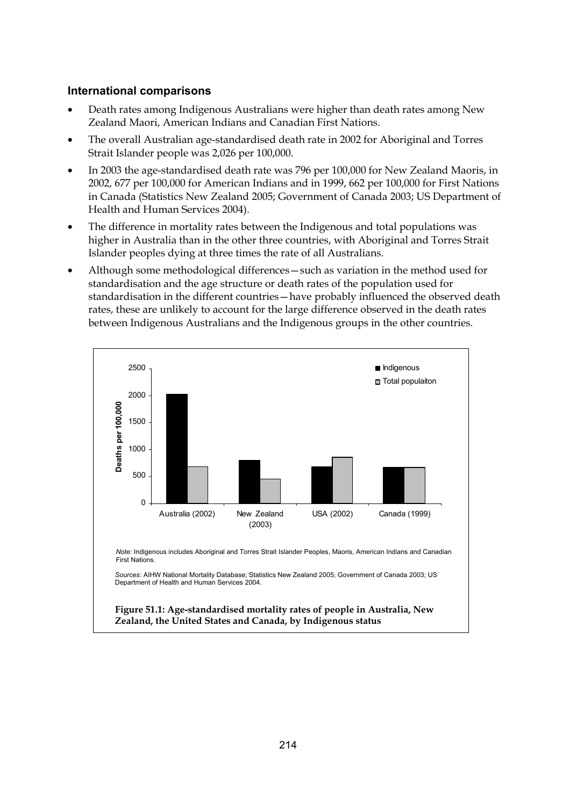#### **International comparisons**

- Death rates among Indigenous Australians were higher than death rates among New Zealand Maori, American Indians and Canadian First Nations.
- The overall Australian age-standardised death rate in 2002 for Aboriginal and Torres Strait Islander people was 2,026 per 100,000.
- In 2003 the age-standardised death rate was 796 per 100,000 for New Zealand Maoris, in 2002, 677 per 100,000 for American Indians and in 1999, 662 per 100,000 for First Nations in Canada (Statistics New Zealand 2005; Government of Canada 2003; US Department of Health and Human Services 2004).
- The difference in mortality rates between the Indigenous and total populations was higher in Australia than in the other three countries, with Aboriginal and Torres Strait Islander peoples dying at three times the rate of all Australians.
- Although some methodological differences—such as variation in the method used for standardisation and the age structure or death rates of the population used for standardisation in the different countries—have probably influenced the observed death rates, these are unlikely to account for the large difference observed in the death rates between Indigenous Australians and the Indigenous groups in the other countries.



**Figure 51.1: Age-standardised mortality rates of people in Australia, New Zealand, the United States and Canada, by Indigenous status**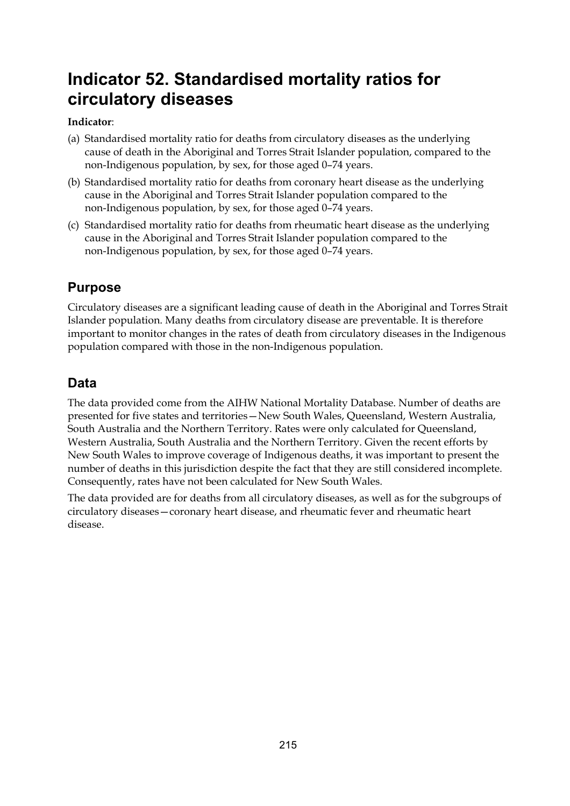# **Indicator 52. Standardised mortality ratios for circulatory diseases**

### **Indicator**:

- (a) Standardised mortality ratio for deaths from circulatory diseases as the underlying cause of death in the Aboriginal and Torres Strait Islander population, compared to the non-Indigenous population, by sex, for those aged 0–74 years.
- (b) Standardised mortality ratio for deaths from coronary heart disease as the underlying cause in the Aboriginal and Torres Strait Islander population compared to the non-Indigenous population, by sex, for those aged 0–74 years.
- (c) Standardised mortality ratio for deaths from rheumatic heart disease as the underlying cause in the Aboriginal and Torres Strait Islander population compared to the non-Indigenous population, by sex, for those aged 0–74 years.

# **Purpose**

Circulatory diseases are a significant leading cause of death in the Aboriginal and Torres Strait Islander population. Many deaths from circulatory disease are preventable. It is therefore important to monitor changes in the rates of death from circulatory diseases in the Indigenous population compared with those in the non-Indigenous population.

# **Data**

The data provided come from the AIHW National Mortality Database. Number of deaths are presented for five states and territories—New South Wales, Queensland, Western Australia, South Australia and the Northern Territory. Rates were only calculated for Queensland, Western Australia, South Australia and the Northern Territory. Given the recent efforts by New South Wales to improve coverage of Indigenous deaths, it was important to present the number of deaths in this jurisdiction despite the fact that they are still considered incomplete. Consequently, rates have not been calculated for New South Wales.

The data provided are for deaths from all circulatory diseases, as well as for the subgroups of circulatory diseases—coronary heart disease, and rheumatic fever and rheumatic heart disease.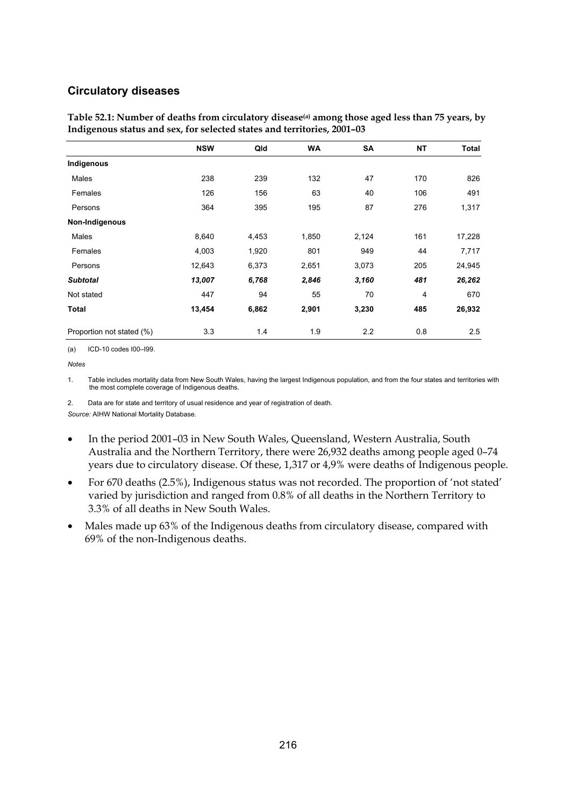#### **Circulatory diseases**

|                           | <b>NSW</b> | Qld   | <b>WA</b> | <b>SA</b> | <b>NT</b> | <b>Total</b> |
|---------------------------|------------|-------|-----------|-----------|-----------|--------------|
| Indigenous                |            |       |           |           |           |              |
| Males                     | 238        | 239   | 132       | 47        | 170       | 826          |
| Females                   | 126        | 156   | 63        | 40        | 106       | 491          |
| Persons                   | 364        | 395   | 195       | 87        | 276       | 1,317        |
| Non-Indigenous            |            |       |           |           |           |              |
| Males                     | 8,640      | 4,453 | 1,850     | 2,124     | 161       | 17,228       |
| Females                   | 4,003      | 1,920 | 801       | 949       | 44        | 7,717        |
| Persons                   | 12,643     | 6,373 | 2,651     | 3,073     | 205       | 24,945       |
| <b>Subtotal</b>           | 13,007     | 6,768 | 2,846     | 3,160     | 481       | 26,262       |
| Not stated                | 447        | 94    | 55        | 70        | 4         | 670          |
| Total                     | 13,454     | 6,862 | 2,901     | 3,230     | 485       | 26,932       |
| Proportion not stated (%) | 3.3        | 1.4   | 1.9       | 2.2       | 0.8       | 2.5          |

**Table 52.1: Number of deaths from circulatory disease(a) among those aged less than 75 years, by Indigenous status and sex, for selected states and territories, 2001–03** 

(a) ICD-10 codes I00–I99.

*Notes* 

1. Table includes mortality data from New South Wales, having the largest Indigenous population, and from the four states and territories with the most complete coverage of Indigenous deaths.

2. Data are for state and territory of usual residence and year of registration of death.

- In the period 2001–03 in New South Wales, Queensland, Western Australia, South Australia and the Northern Territory, there were 26,932 deaths among people aged 0–74 years due to circulatory disease. Of these, 1,317 or 4,9% were deaths of Indigenous people.
- For 670 deaths (2.5%), Indigenous status was not recorded. The proportion of 'not stated' varied by jurisdiction and ranged from 0.8% of all deaths in the Northern Territory to 3.3% of all deaths in New South Wales.
- Males made up 63% of the Indigenous deaths from circulatory disease, compared with 69% of the non-Indigenous deaths.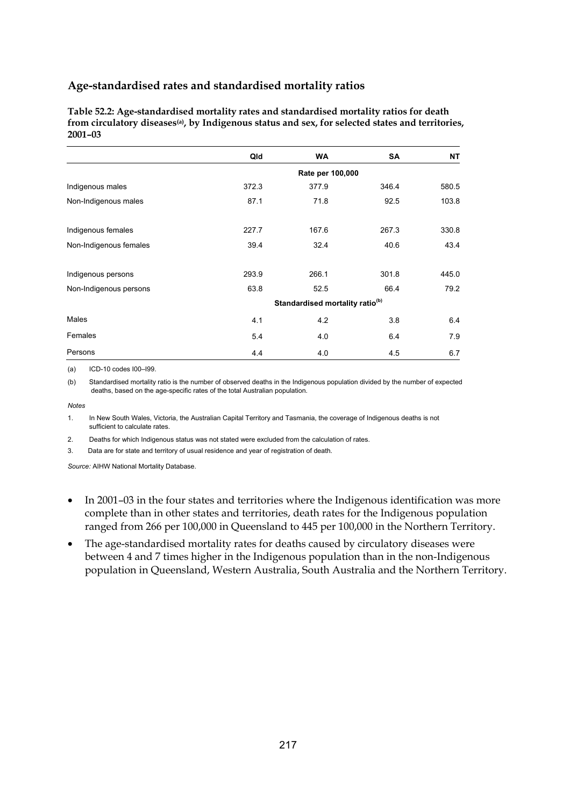**Table 52.2: Age-standardised mortality rates and standardised mortality ratios for death from circulatory diseases(a), by Indigenous status and sex, for selected states and territories, 2001–03** 

|                        | Qld                                         | <b>WA</b>        | <b>SA</b> | NΤ    |  |  |  |
|------------------------|---------------------------------------------|------------------|-----------|-------|--|--|--|
|                        |                                             | Rate per 100,000 |           |       |  |  |  |
| Indigenous males       | 372.3                                       | 377.9            | 346.4     | 580.5 |  |  |  |
| Non-Indigenous males   | 87.1                                        | 71.8             | 92.5      | 103.8 |  |  |  |
| Indigenous females     | 227.7                                       | 167.6            | 267.3     | 330.8 |  |  |  |
| Non-Indigenous females | 39.4                                        | 32.4             | 40.6      | 43.4  |  |  |  |
| Indigenous persons     | 293.9                                       | 266.1            | 301.8     | 445.0 |  |  |  |
| Non-Indigenous persons | 63.8                                        | 52.5             | 66.4      | 79.2  |  |  |  |
|                        | Standardised mortality ratio <sup>(b)</sup> |                  |           |       |  |  |  |
| Males                  | 4.1                                         | 4.2              | 3.8       | 6.4   |  |  |  |
| Females                | 5.4                                         | 4.0              | 6.4       | 7.9   |  |  |  |
| Persons                | 4.4                                         | 4.0              | 45        | 6.7   |  |  |  |

(a) ICD-10 codes I00–I99.

(b) Standardised mortality ratio is the number of observed deaths in the Indigenous population divided by the number of expected deaths, based on the age-specific rates of the total Australian population.

*Notes* 

1. In New South Wales, Victoria, the Australian Capital Territory and Tasmania, the coverage of Indigenous deaths is not sufficient to calculate rates.

2. Deaths for which Indigenous status was not stated were excluded from the calculation of rates.

3. Data are for state and territory of usual residence and year of registration of death.

- In 2001–03 in the four states and territories where the Indigenous identification was more complete than in other states and territories, death rates for the Indigenous population ranged from 266 per 100,000 in Queensland to 445 per 100,000 in the Northern Territory.
- The age-standardised mortality rates for deaths caused by circulatory diseases were between 4 and 7 times higher in the Indigenous population than in the non-Indigenous population in Queensland, Western Australia, South Australia and the Northern Territory.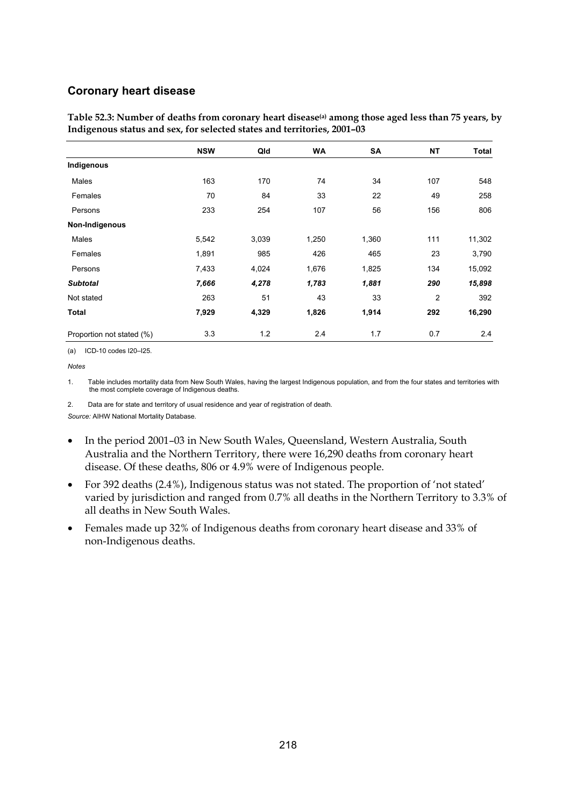#### **Coronary heart disease**

|                           | <b>NSW</b> | Qld   | <b>WA</b> | SA    | <b>NT</b>      | <b>Total</b> |
|---------------------------|------------|-------|-----------|-------|----------------|--------------|
| Indigenous                |            |       |           |       |                |              |
| Males                     | 163        | 170   | 74        | 34    | 107            | 548          |
| Females                   | 70         | 84    | 33        | 22    | 49             | 258          |
| Persons                   | 233        | 254   | 107       | 56    | 156            | 806          |
| Non-Indigenous            |            |       |           |       |                |              |
| Males                     | 5,542      | 3,039 | 1,250     | 1,360 | 111            | 11,302       |
| Females                   | 1,891      | 985   | 426       | 465   | 23             | 3,790        |
| Persons                   | 7,433      | 4,024 | 1,676     | 1,825 | 134            | 15,092       |
| <b>Subtotal</b>           | 7,666      | 4,278 | 1,783     | 1,881 | 290            | 15,898       |
| Not stated                | 263        | 51    | 43        | 33    | $\overline{2}$ | 392          |
| Total                     | 7,929      | 4,329 | 1,826     | 1,914 | 292            | 16,290       |
| Proportion not stated (%) | 3.3        | 1.2   | 2.4       | 1.7   | 0.7            | 2.4          |

Table 52.3: Number of deaths from coronary heart disease<sup>(a)</sup> among those aged less than 75 years, by **Indigenous status and sex, for selected states and territories, 2001–03** 

(a) ICD-10 codes I20–I25.

*Notes* 

1. Table includes mortality data from New South Wales, having the largest Indigenous population, and from the four states and territories with the most complete coverage of Indigenous deaths.

2. Data are for state and territory of usual residence and year of registration of death.

- In the period 2001–03 in New South Wales, Queensland, Western Australia, South Australia and the Northern Territory, there were 16,290 deaths from coronary heart disease. Of these deaths, 806 or 4.9% were of Indigenous people.
- For 392 deaths (2.4%), Indigenous status was not stated. The proportion of 'not stated' varied by jurisdiction and ranged from 0.7% all deaths in the Northern Territory to 3.3% of all deaths in New South Wales.
- Females made up 32% of Indigenous deaths from coronary heart disease and 33% of non-Indigenous deaths.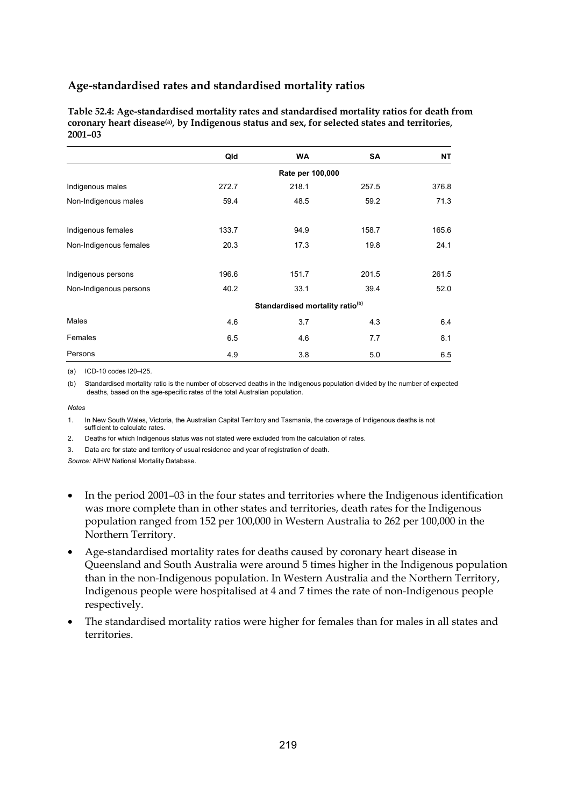**Table 52.4: Age-standardised mortality rates and standardised mortality ratios for death from coronary heart disease(a), by Indigenous status and sex, for selected states and territories, 2001–03** 

|                        | Qld   | <b>WA</b>                                   | <b>SA</b> | NΤ    |
|------------------------|-------|---------------------------------------------|-----------|-------|
|                        |       | Rate per 100,000                            |           |       |
| Indigenous males       | 272.7 | 218.1                                       | 257.5     | 376.8 |
| Non-Indigenous males   | 59.4  | 48.5                                        | 59.2      | 71.3  |
| Indigenous females     | 133.7 | 94.9                                        | 158.7     | 165.6 |
| Non-Indigenous females | 20.3  | 17.3                                        | 19.8      | 24.1  |
| Indigenous persons     | 196.6 | 151.7                                       | 201.5     | 261.5 |
| Non-Indigenous persons | 40.2  | 33.1                                        | 39.4      | 52.0  |
|                        |       | Standardised mortality ratio <sup>(b)</sup> |           |       |
| Males                  | 4.6   | 3.7                                         | 4.3       | 6.4   |
| Females                | 6.5   | 4.6                                         | 7.7       | 8.1   |
| Persons                | 4.9   | 3.8                                         | 5.0       | 6.5   |

(a) ICD-10 codes I20–I25.

(b) Standardised mortality ratio is the number of observed deaths in the Indigenous population divided by the number of expected deaths, based on the age-specific rates of the total Australian population.

*Notes* 

1. In New South Wales, Victoria, the Australian Capital Territory and Tasmania, the coverage of Indigenous deaths is not sufficient to calculate rates.

2. Deaths for which Indigenous status was not stated were excluded from the calculation of rates.

3. Data are for state and territory of usual residence and year of registration of death.

- In the period 2001–03 in the four states and territories where the Indigenous identification was more complete than in other states and territories, death rates for the Indigenous population ranged from 152 per 100,000 in Western Australia to 262 per 100,000 in the Northern Territory.
- Age-standardised mortality rates for deaths caused by coronary heart disease in Queensland and South Australia were around 5 times higher in the Indigenous population than in the non-Indigenous population. In Western Australia and the Northern Territory, Indigenous people were hospitalised at 4 and 7 times the rate of non-Indigenous people respectively.
- The standardised mortality ratios were higher for females than for males in all states and territories.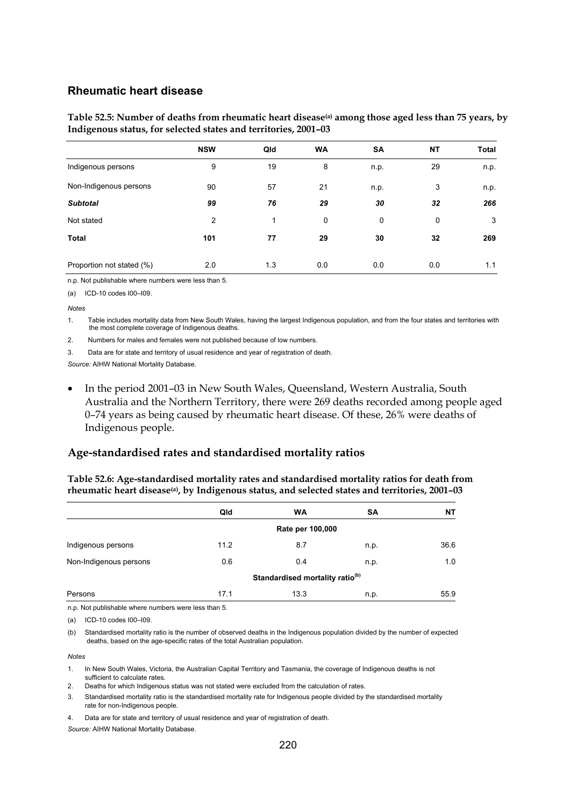#### **Rheumatic heart disease**

Table 52.5: Number of deaths from rheumatic heart disease<sup>(a)</sup> among those aged less than 75 years, by **Indigenous status, for selected states and territories, 2001–03** 

|                           | <b>NSW</b> | Qld | <b>WA</b> | <b>SA</b> | <b>NT</b> | Total |
|---------------------------|------------|-----|-----------|-----------|-----------|-------|
| Indigenous persons        | 9          | 19  | 8         | n.p.      | 29        | n.p.  |
| Non-Indigenous persons    | 90         | 57  | 21        | n.p.      | 3         | n.p.  |
| <b>Subtotal</b>           | 99         | 76  | 29        | 30        | 32        | 266   |
| Not stated                | 2          | 1   | 0         | 0         | 0         | 3     |
| <b>Total</b>              | 101        | 77  | 29        | 30        | 32        | 269   |
| Proportion not stated (%) | 2.0        | 1.3 | 0.0       | 0.0       | 0.0       | 1.1   |

n.p. Not publishable where numbers were less than 5.

(a) ICD-10 codes I00–I09.

#### *Notes*

1. Table includes mortality data from New South Wales, having the largest Indigenous population, and from the four states and territories with the most complete coverage of Indigenous deaths.

- 2. Numbers for males and females were not published because of low numbers.
- 3. Data are for state and territory of usual residence and year of registration of death.

*Source:* AIHW National Mortality Database.

• In the period 2001–03 in New South Wales, Queensland, Western Australia, South Australia and the Northern Territory, there were 269 deaths recorded among people aged 0–74 years as being caused by rheumatic heart disease. Of these, 26% were deaths of Indigenous people.

#### **Age-standardised rates and standardised mortality ratios**

**Table 52.6: Age-standardised mortality rates and standardised mortality ratios for death from rheumatic heart disease(a), by Indigenous status, and selected states and territories, 2001–03** 

|                        | Qld                                         | <b>WA</b> | SA   | NΤ   |  |  |  |
|------------------------|---------------------------------------------|-----------|------|------|--|--|--|
|                        | Rate per 100,000                            |           |      |      |  |  |  |
| Indigenous persons     | 11.2                                        | 8.7       | n.p. | 36.6 |  |  |  |
| Non-Indigenous persons | 0.6                                         | 0.4       | n.p. | 1.0  |  |  |  |
|                        | Standardised mortality ratio <sup>(b)</sup> |           |      |      |  |  |  |
| Persons                | 17.1                                        | 13.3      | n.p. | 55.9 |  |  |  |

n.p. Not publishable where numbers were less than 5.

(a) ICD-10 codes I00–I09.

(b) Standardised mortality ratio is the number of observed deaths in the Indigenous population divided by the number of expected deaths, based on the age-specific rates of the total Australian population.

#### *Notes*

- 1. In New South Wales, Victoria, the Australian Capital Territory and Tasmania, the coverage of Indigenous deaths is not sufficient to calculate rates.
- 2. Deaths for which Indigenous status was not stated were excluded from the calculation of rates.
- 3. Standardised mortality ratio is the standardised mortality rate for Indigenous people divided by the standardised mortality rate for non-Indigenous people.

4. Data are for state and territory of usual residence and year of registration of death.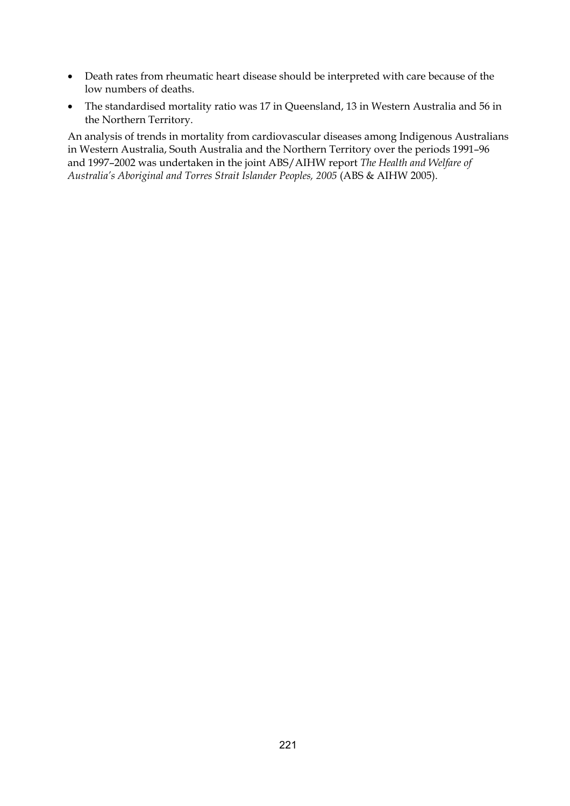- Death rates from rheumatic heart disease should be interpreted with care because of the low numbers of deaths.
- The standardised mortality ratio was 17 in Queensland, 13 in Western Australia and 56 in the Northern Territory.

An analysis of trends in mortality from cardiovascular diseases among Indigenous Australians in Western Australia, South Australia and the Northern Territory over the periods 1991–96 and 1997–2002 was undertaken in the joint ABS/AIHW report *The Health and Welfare of Australia's Aboriginal and Torres Strait Islander Peoples, 2005* (ABS & AIHW 2005).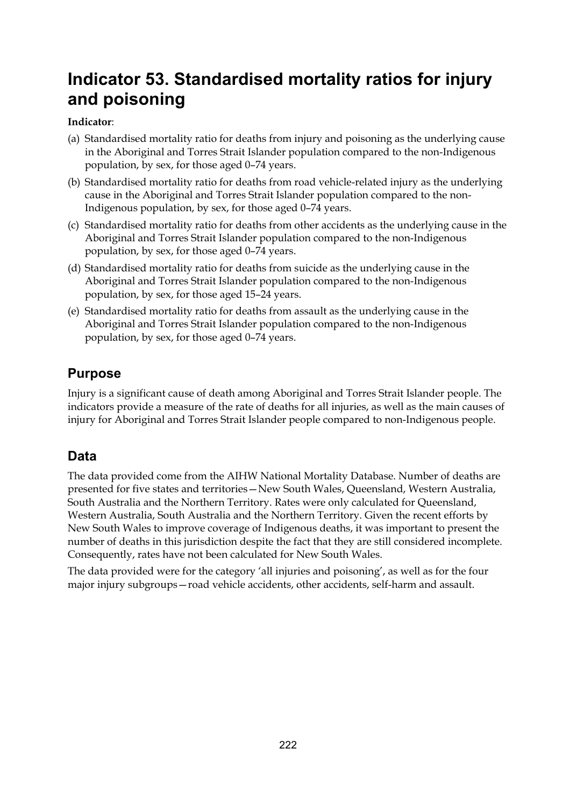# **Indicator 53. Standardised mortality ratios for injury and poisoning**

### **Indicator**:

- (a) Standardised mortality ratio for deaths from injury and poisoning as the underlying cause in the Aboriginal and Torres Strait Islander population compared to the non-Indigenous population, by sex, for those aged 0–74 years.
- (b) Standardised mortality ratio for deaths from road vehicle-related injury as the underlying cause in the Aboriginal and Torres Strait Islander population compared to the non-Indigenous population, by sex, for those aged 0–74 years.
- (c) Standardised mortality ratio for deaths from other accidents as the underlying cause in the Aboriginal and Torres Strait Islander population compared to the non-Indigenous population, by sex, for those aged 0–74 years.
- (d) Standardised mortality ratio for deaths from suicide as the underlying cause in the Aboriginal and Torres Strait Islander population compared to the non-Indigenous population, by sex, for those aged 15–24 years.
- (e) Standardised mortality ratio for deaths from assault as the underlying cause in the Aboriginal and Torres Strait Islander population compared to the non-Indigenous population, by sex, for those aged 0–74 years.

# **Purpose**

Injury is a significant cause of death among Aboriginal and Torres Strait Islander people. The indicators provide a measure of the rate of deaths for all injuries, as well as the main causes of injury for Aboriginal and Torres Strait Islander people compared to non-Indigenous people.

# **Data**

The data provided come from the AIHW National Mortality Database. Number of deaths are presented for five states and territories—New South Wales, Queensland, Western Australia, South Australia and the Northern Territory. Rates were only calculated for Queensland, Western Australia, South Australia and the Northern Territory. Given the recent efforts by New South Wales to improve coverage of Indigenous deaths, it was important to present the number of deaths in this jurisdiction despite the fact that they are still considered incomplete. Consequently, rates have not been calculated for New South Wales.

The data provided were for the category 'all injuries and poisoning', as well as for the four major injury subgroups—road vehicle accidents, other accidents, self-harm and assault.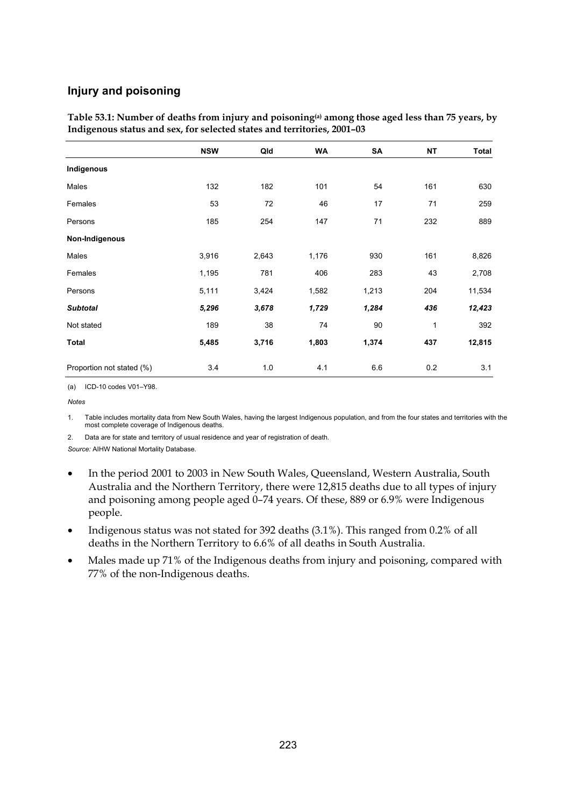### **Injury and poisoning**

| Table 53.1: Number of deaths from injury and poisoning <sup>(a)</sup> among those aged less than 75 years, by |
|---------------------------------------------------------------------------------------------------------------|
| Indigenous status and sex, for selected states and territories, 2001–03                                       |

|                           | <b>NSW</b> | Qld   | <b>WA</b> | SA    | <b>NT</b>    | <b>Total</b> |
|---------------------------|------------|-------|-----------|-------|--------------|--------------|
| Indigenous                |            |       |           |       |              |              |
| Males                     | 132        | 182   | 101       | 54    | 161          | 630          |
| Females                   | 53         | 72    | 46        | 17    | 71           | 259          |
| Persons                   | 185        | 254   | 147       | 71    | 232          | 889          |
| Non-Indigenous            |            |       |           |       |              |              |
| Males                     | 3,916      | 2,643 | 1,176     | 930   | 161          | 8,826        |
| Females                   | 1,195      | 781   | 406       | 283   | 43           | 2,708        |
| Persons                   | 5,111      | 3,424 | 1,582     | 1,213 | 204          | 11,534       |
| <b>Subtotal</b>           | 5,296      | 3,678 | 1,729     | 1,284 | 436          | 12,423       |
| Not stated                | 189        | 38    | 74        | 90    | $\mathbf{1}$ | 392          |
| <b>Total</b>              | 5,485      | 3,716 | 1,803     | 1,374 | 437          | 12,815       |
| Proportion not stated (%) | 3.4        | 1.0   | 4.1       | 6.6   | 0.2          | 3.1          |

(a) ICD-10 codes V01–Y98.

*Notes* 

1. Table includes mortality data from New South Wales, having the largest Indigenous population, and from the four states and territories with the most complete coverage of Indigenous deaths.

2. Data are for state and territory of usual residence and year of registration of death.

- In the period 2001 to 2003 in New South Wales, Queensland, Western Australia, South Australia and the Northern Territory, there were 12,815 deaths due to all types of injury and poisoning among people aged 0–74 years. Of these, 889 or 6.9% were Indigenous people.
- Indigenous status was not stated for 392 deaths (3.1%). This ranged from 0.2% of all deaths in the Northern Territory to 6.6% of all deaths in South Australia.
- Males made up 71% of the Indigenous deaths from injury and poisoning, compared with 77% of the non-Indigenous deaths.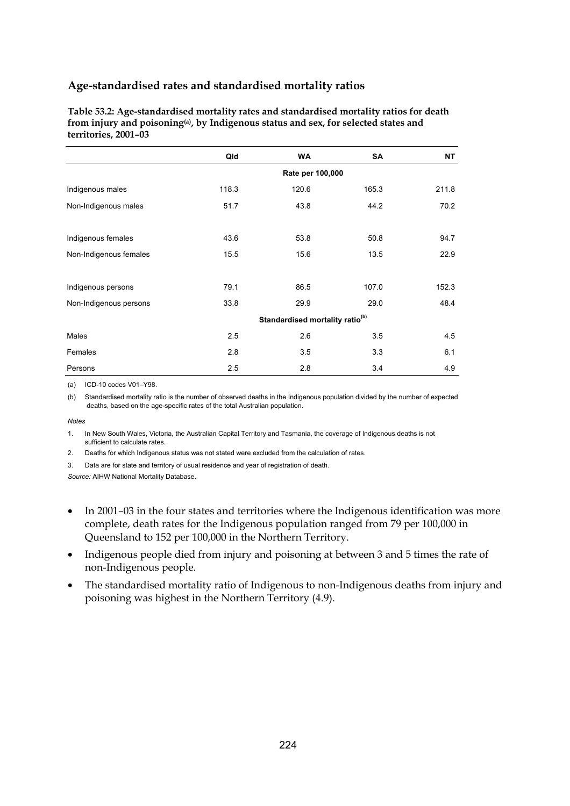**Table 53.2: Age-standardised mortality rates and standardised mortality ratios for death from injury and poisoning(a), by Indigenous status and sex, for selected states and territories, 2001–03** 

|                        | Qld                                         | <b>WA</b> | SA    | NΤ    |  |  |  |  |
|------------------------|---------------------------------------------|-----------|-------|-------|--|--|--|--|
|                        | Rate per 100,000                            |           |       |       |  |  |  |  |
| Indigenous males       | 118.3                                       | 120.6     | 165.3 | 211.8 |  |  |  |  |
| Non-Indigenous males   | 51.7                                        | 43.8      | 44.2  | 70.2  |  |  |  |  |
|                        |                                             |           |       |       |  |  |  |  |
| Indigenous females     | 43.6                                        | 53.8      | 50.8  | 94.7  |  |  |  |  |
| Non-Indigenous females | 15.5                                        | 15.6      | 13.5  | 22.9  |  |  |  |  |
|                        |                                             |           |       |       |  |  |  |  |
| Indigenous persons     | 79.1                                        | 86.5      | 107.0 | 152.3 |  |  |  |  |
| Non-Indigenous persons | 33.8                                        | 29.9      | 29.0  | 48.4  |  |  |  |  |
|                        | Standardised mortality ratio <sup>(b)</sup> |           |       |       |  |  |  |  |
| Males                  | 2.5                                         | 2.6       | 3.5   | 4.5   |  |  |  |  |
| Females                | 2.8                                         | 3.5       | 3.3   | 6.1   |  |  |  |  |
| Persons                | 2.5                                         | 2.8       | 3.4   | 4.9   |  |  |  |  |

(a) ICD-10 codes V01–Y98.

(b) Standardised mortality ratio is the number of observed deaths in the Indigenous population divided by the number of expected deaths, based on the age-specific rates of the total Australian population.

*Notes* 

1. In New South Wales, Victoria, the Australian Capital Territory and Tasmania, the coverage of Indigenous deaths is not sufficient to calculate rates.

2. Deaths for which Indigenous status was not stated were excluded from the calculation of rates.

3. Data are for state and territory of usual residence and year of registration of death.

- In 2001–03 in the four states and territories where the Indigenous identification was more complete, death rates for the Indigenous population ranged from 79 per 100,000 in Queensland to 152 per 100,000 in the Northern Territory.
- Indigenous people died from injury and poisoning at between 3 and 5 times the rate of non-Indigenous people.
- The standardised mortality ratio of Indigenous to non-Indigenous deaths from injury and poisoning was highest in the Northern Territory (4.9).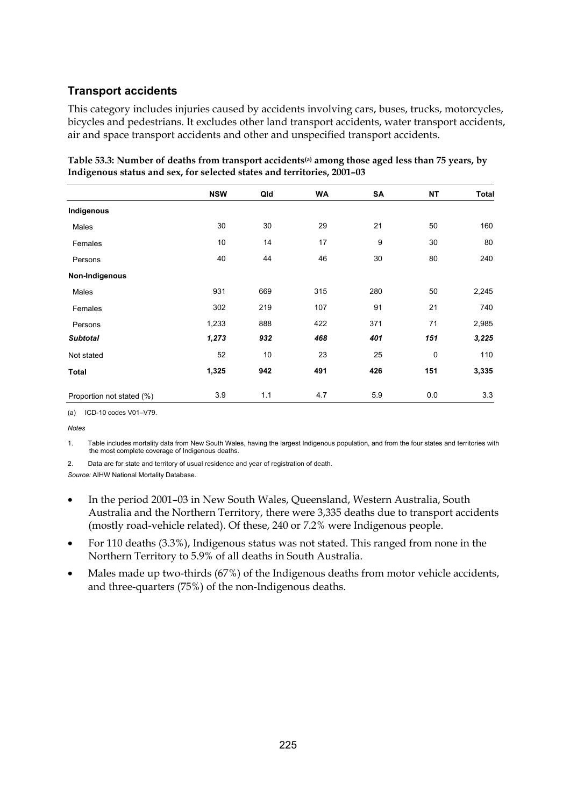### **Transport accidents**

This category includes injuries caused by accidents involving cars, buses, trucks, motorcycles, bicycles and pedestrians. It excludes other land transport accidents, water transport accidents, air and space transport accidents and other and unspecified transport accidents.

|                           | <b>NSW</b> | Qld | <b>WA</b> | SA  | NT  | <b>Total</b> |
|---------------------------|------------|-----|-----------|-----|-----|--------------|
| Indigenous                |            |     |           |     |     |              |
| Males                     | 30         | 30  | 29        | 21  | 50  | 160          |
| Females                   | 10         | 14  | 17        | 9   | 30  | 80           |
| Persons                   | 40         | 44  | 46        | 30  | 80  | 240          |
| Non-Indigenous            |            |     |           |     |     |              |
| Males                     | 931        | 669 | 315       | 280 | 50  | 2,245        |
| Females                   | 302        | 219 | 107       | 91  | 21  | 740          |
| Persons                   | 1,233      | 888 | 422       | 371 | 71  | 2,985        |
| <b>Subtotal</b>           | 1,273      | 932 | 468       | 401 | 151 | 3,225        |
| Not stated                | 52         | 10  | 23        | 25  | 0   | 110          |
| Total                     | 1,325      | 942 | 491       | 426 | 151 | 3,335        |
| Proportion not stated (%) | 3.9        | 1.1 | 4.7       | 5.9 | 0.0 | 3.3          |

**Table 53.3: Number of deaths from transport accidents(a) among those aged less than 75 years, by Indigenous status and sex, for selected states and territories, 2001–03** 

(a) ICD-10 codes V01–V79.

*Notes* 

1. Table includes mortality data from New South Wales, having the largest Indigenous population, and from the four states and territories with the most complete coverage of Indigenous deaths.

2. Data are for state and territory of usual residence and year of registration of death.

- In the period 2001–03 in New South Wales, Queensland, Western Australia, South Australia and the Northern Territory, there were 3,335 deaths due to transport accidents (mostly road-vehicle related). Of these, 240 or 7.2% were Indigenous people.
- For 110 deaths  $(3.3\%)$ , Indigenous status was not stated. This ranged from none in the Northern Territory to 5.9% of all deaths in South Australia.
- Males made up two-thirds (67%) of the Indigenous deaths from motor vehicle accidents, and three-quarters (75%) of the non-Indigenous deaths.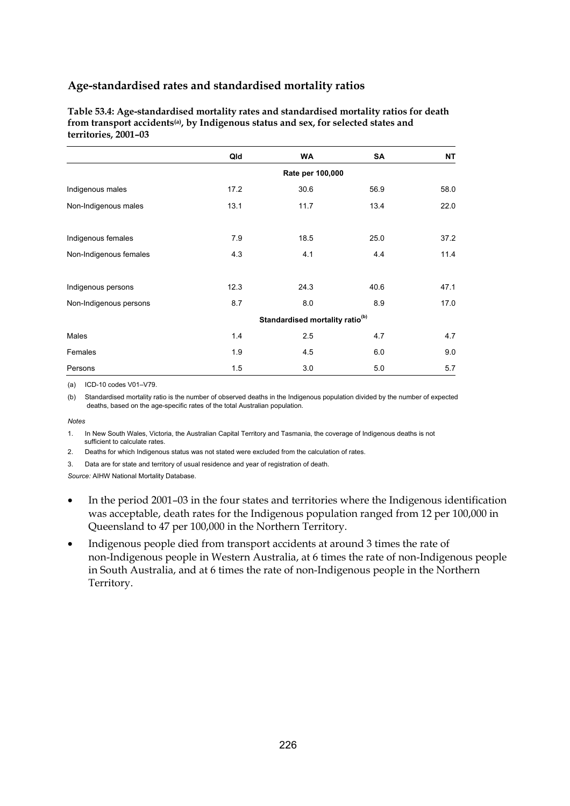| Table 53.4: Age-standardised mortality rates and standardised mortality ratios for death        |
|-------------------------------------------------------------------------------------------------|
| from transport accidents <sup>(a)</sup> , by Indigenous status and sex, for selected states and |
| territories. 2001–03                                                                            |

|                        | Qld                                         | <b>WA</b>        | SA   | NΤ   |  |  |
|------------------------|---------------------------------------------|------------------|------|------|--|--|
|                        |                                             | Rate per 100,000 |      |      |  |  |
| Indigenous males       | 17.2                                        | 30.6             | 56.9 | 58.0 |  |  |
| Non-Indigenous males   | 13.1                                        | 11.7             | 13.4 | 22.0 |  |  |
| Indigenous females     | 7.9                                         | 18.5             | 25.0 | 37.2 |  |  |
| Non-Indigenous females | 4.3                                         | 4.1              | 4.4  | 11.4 |  |  |
| Indigenous persons     | 12.3                                        | 24.3             | 40.6 | 47.1 |  |  |
| Non-Indigenous persons | 8.7                                         | 8.0              | 8.9  | 17.0 |  |  |
|                        | Standardised mortality ratio <sup>(b)</sup> |                  |      |      |  |  |
| Males                  | 1.4                                         | 2.5              | 4.7  | 4.7  |  |  |
| Females                | 1.9                                         | 4.5              | 6.0  | 9.0  |  |  |
| Persons                | 1.5                                         | 3.0              | 5.0  | 5.7  |  |  |

(a) ICD-10 codes V01–V79.

(b) Standardised mortality ratio is the number of observed deaths in the Indigenous population divided by the number of expected deaths, based on the age-specific rates of the total Australian population.

*Notes* 

1. In New South Wales, Victoria, the Australian Capital Territory and Tasmania, the coverage of Indigenous deaths is not sufficient to calculate rates.

2. Deaths for which Indigenous status was not stated were excluded from the calculation of rates.

3. Data are for state and territory of usual residence and year of registration of death.

- In the period 2001–03 in the four states and territories where the Indigenous identification was acceptable, death rates for the Indigenous population ranged from 12 per 100,000 in Queensland to 47 per 100,000 in the Northern Territory.
- Indigenous people died from transport accidents at around 3 times the rate of non-Indigenous people in Western Australia, at 6 times the rate of non-Indigenous people in South Australia, and at 6 times the rate of non-Indigenous people in the Northern Territory.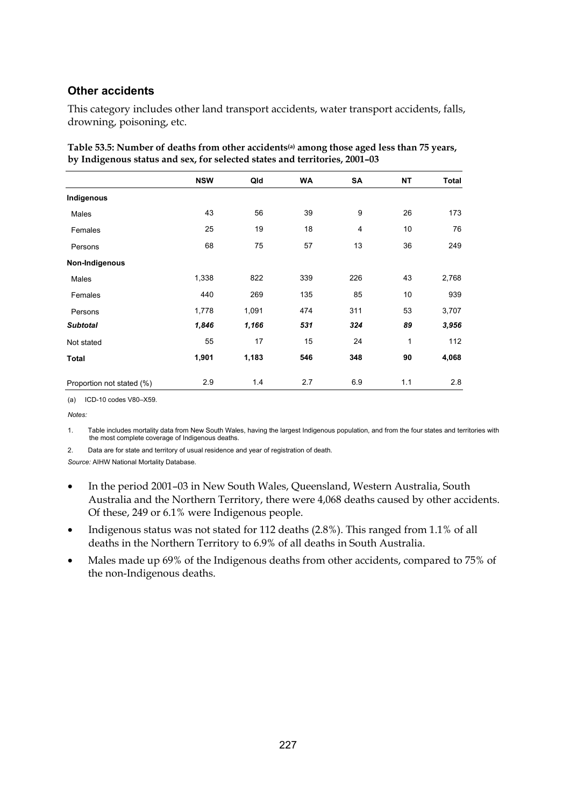#### **Other accidents**

This category includes other land transport accidents, water transport accidents, falls, drowning, poisoning, etc.

|                           | <b>NSW</b> | Qld   | <b>WA</b> | SA             | <b>NT</b> | Total |
|---------------------------|------------|-------|-----------|----------------|-----------|-------|
| Indigenous                |            |       |           |                |           |       |
| Males                     | 43         | 56    | 39        | 9              | 26        | 173   |
| Females                   | 25         | 19    | 18        | $\overline{4}$ | 10        | 76    |
| Persons                   | 68         | 75    | 57        | 13             | 36        | 249   |
| Non-Indigenous            |            |       |           |                |           |       |
| Males                     | 1,338      | 822   | 339       | 226            | 43        | 2,768 |
| Females                   | 440        | 269   | 135       | 85             | 10        | 939   |
| Persons                   | 1,778      | 1,091 | 474       | 311            | 53        | 3,707 |
| <b>Subtotal</b>           | 1,846      | 1,166 | 531       | 324            | 89        | 3,956 |
| Not stated                | 55         | 17    | 15        | 24             | 1         | 112   |
| <b>Total</b>              | 1,901      | 1,183 | 546       | 348            | 90        | 4,068 |
| Proportion not stated (%) | 2.9        | 1.4   | 2.7       | 6.9            | 1.1       | 2.8   |

| Table 53.5: Number of deaths from other accidents <sup>(a)</sup> among those aged less than 75 years, |
|-------------------------------------------------------------------------------------------------------|
| by Indigenous status and sex, for selected states and territories, 2001-03                            |

(a) ICD-10 codes V80–X59.

*Notes:* 

1. Table includes mortality data from New South Wales, having the largest Indigenous population, and from the four states and territories with the most complete coverage of Indigenous deaths.

2. Data are for state and territory of usual residence and year of registration of death. *Source:* AIHW National Mortality Database.

- In the period 2001–03 in New South Wales, Queensland, Western Australia, South Australia and the Northern Territory, there were 4,068 deaths caused by other accidents. Of these, 249 or 6.1% were Indigenous people.
- Indigenous status was not stated for 112 deaths (2.8%). This ranged from 1.1% of all deaths in the Northern Territory to 6.9% of all deaths in South Australia.
- Males made up 69% of the Indigenous deaths from other accidents, compared to 75% of the non-Indigenous deaths.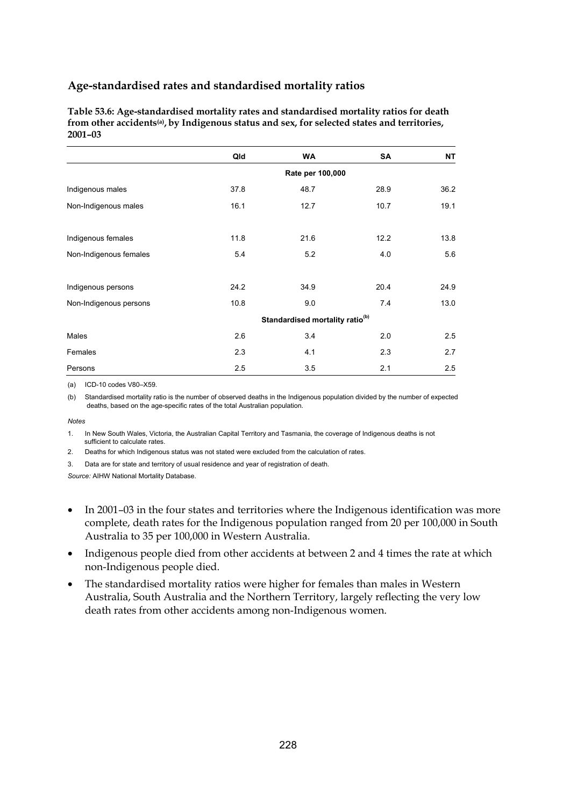**Table 53.6: Age-standardised mortality rates and standardised mortality ratios for death from other accidents(a), by Indigenous status and sex, for selected states and territories, 2001–03** 

|                        | Qld              | <b>WA</b>                                   | SA   | NT   |  |  |  |
|------------------------|------------------|---------------------------------------------|------|------|--|--|--|
|                        | Rate per 100,000 |                                             |      |      |  |  |  |
| Indigenous males       | 37.8             | 48.7                                        | 28.9 | 36.2 |  |  |  |
| Non-Indigenous males   | 16.1             | 12.7                                        | 10.7 | 19.1 |  |  |  |
| Indigenous females     | 11.8             | 21.6                                        | 12.2 | 13.8 |  |  |  |
| Non-Indigenous females | 5.4              | 5.2                                         | 4.0  | 5.6  |  |  |  |
| Indigenous persons     | 24.2             | 34.9                                        | 20.4 | 24.9 |  |  |  |
| Non-Indigenous persons | 10.8             | 9.0                                         | 7.4  | 13.0 |  |  |  |
|                        |                  | Standardised mortality ratio <sup>(b)</sup> |      |      |  |  |  |
| Males                  | 2.6              | 3.4                                         | 2.0  | 2.5  |  |  |  |
| Females                | 2.3              | 4.1                                         | 2.3  | 2.7  |  |  |  |
| Persons                | 2.5              | 3.5                                         | 2.1  | 2.5  |  |  |  |

(a) ICD-10 codes V80–X59.

(b) Standardised mortality ratio is the number of observed deaths in the Indigenous population divided by the number of expected deaths, based on the age-specific rates of the total Australian population.

*Notes* 

1. In New South Wales, Victoria, the Australian Capital Territory and Tasmania, the coverage of Indigenous deaths is not sufficient to calculate rates.

2. Deaths for which Indigenous status was not stated were excluded from the calculation of rates.

3. Data are for state and territory of usual residence and year of registration of death.

- In 2001–03 in the four states and territories where the Indigenous identification was more complete, death rates for the Indigenous population ranged from 20 per 100,000 in South Australia to 35 per 100,000 in Western Australia.
- Indigenous people died from other accidents at between 2 and 4 times the rate at which non-Indigenous people died.
- The standardised mortality ratios were higher for females than males in Western Australia, South Australia and the Northern Territory, largely reflecting the very low death rates from other accidents among non-Indigenous women.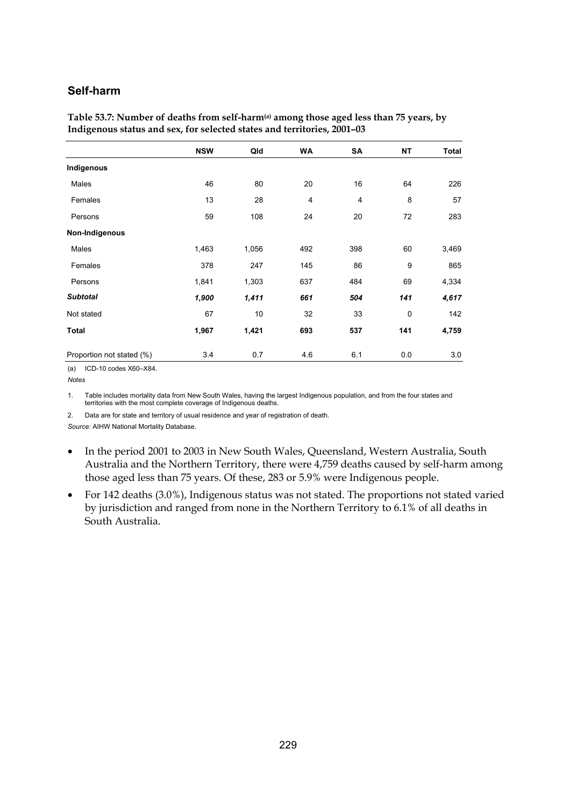#### **Self-harm**

| $\sigma$                  |            |       |           |     |           |       |  |
|---------------------------|------------|-------|-----------|-----|-----------|-------|--|
|                           | <b>NSW</b> | Qld   | <b>WA</b> | SA  | <b>NT</b> | Total |  |
| Indigenous                |            |       |           |     |           |       |  |
| Males                     | 46         | 80    | 20        | 16  | 64        | 226   |  |
| Females                   | 13         | 28    | 4         | 4   | 8         | 57    |  |
| Persons                   | 59         | 108   | 24        | 20  | 72        | 283   |  |
| Non-Indigenous            |            |       |           |     |           |       |  |
| Males                     | 1,463      | 1,056 | 492       | 398 | 60        | 3,469 |  |
| Females                   | 378        | 247   | 145       | 86  | 9         | 865   |  |
| Persons                   | 1,841      | 1,303 | 637       | 484 | 69        | 4,334 |  |
| <b>Subtotal</b>           | 1,900      | 1,411 | 661       | 504 | 141       | 4,617 |  |
| Not stated                | 67         | 10    | 32        | 33  | 0         | 142   |  |
| <b>Total</b>              | 1,967      | 1,421 | 693       | 537 | 141       | 4,759 |  |
| Proportion not stated (%) | 3.4        | 0.7   | 4.6       | 6.1 | 0.0       | 3.0   |  |

**Table 53.7: Number of deaths from self-harm(a) among those aged less than 75 years, by Indigenous status and sex, for selected states and territories, 2001–03** 

1. Table includes mortality data from New South Wales, having the largest Indigenous population, and from the four states and territories with the most complete coverage of Indigenous deaths.

2. Data are for state and territory of usual residence and year of registration of death.

- In the period 2001 to 2003 in New South Wales, Queensland, Western Australia, South Australia and the Northern Territory, there were 4,759 deaths caused by self-harm among those aged less than 75 years. Of these, 283 or 5.9% were Indigenous people.
- For 142 deaths (3.0%), Indigenous status was not stated. The proportions not stated varied by jurisdiction and ranged from none in the Northern Territory to 6.1% of all deaths in South Australia.

<sup>(</sup>a) ICD-10 codes X60–X84.

*Notes*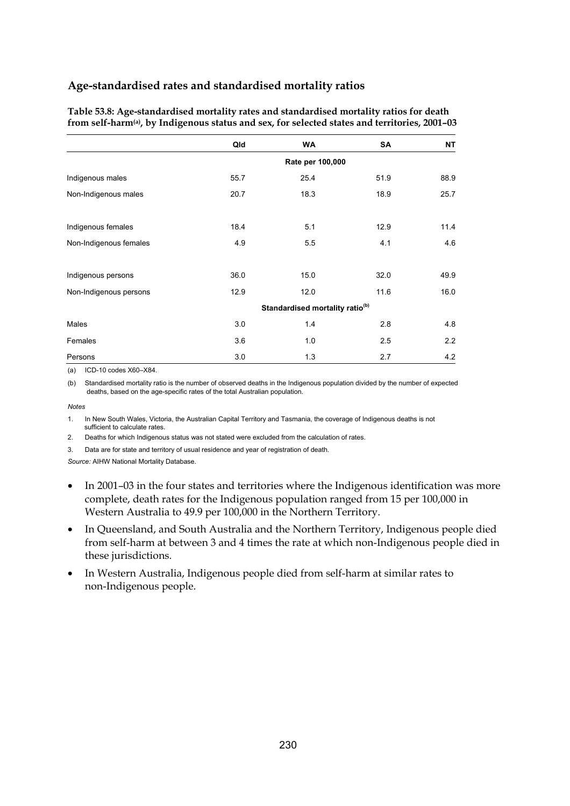| Table 53.8: Age-standardised mortality rates and standardised mortality ratios for death                   |
|------------------------------------------------------------------------------------------------------------|
| from self-harm <sup>(a)</sup> , by Indigenous status and sex, for selected states and territories, 2001-03 |

|                        | Qld              | <b>WA</b>                                   | SA   | <b>NT</b> |  |  |  |
|------------------------|------------------|---------------------------------------------|------|-----------|--|--|--|
|                        | Rate per 100,000 |                                             |      |           |  |  |  |
| Indigenous males       | 55.7             | 25.4                                        | 51.9 | 88.9      |  |  |  |
| Non-Indigenous males   | 20.7             | 18.3                                        | 18.9 | 25.7      |  |  |  |
|                        |                  |                                             |      |           |  |  |  |
| Indigenous females     | 18.4             | 5.1                                         | 12.9 | 11.4      |  |  |  |
| Non-Indigenous females | 4.9              | 5.5                                         | 4.1  | 4.6       |  |  |  |
|                        |                  |                                             |      |           |  |  |  |
| Indigenous persons     | 36.0             | 15.0                                        | 32.0 | 49.9      |  |  |  |
| Non-Indigenous persons | 12.9             | 12.0                                        | 11.6 | 16.0      |  |  |  |
|                        |                  | Standardised mortality ratio <sup>(b)</sup> |      |           |  |  |  |
| Males                  | 3.0              | 1.4                                         | 2.8  | 4.8       |  |  |  |
| Females                | 3.6              | 1.0                                         | 2.5  | 2.2       |  |  |  |
| Persons                | 3.0              | 1.3                                         | 2.7  | 4.2       |  |  |  |

(a) ICD-10 codes X60–X84.

(b) Standardised mortality ratio is the number of observed deaths in the Indigenous population divided by the number of expected deaths, based on the age-specific rates of the total Australian population.

*Notes* 

1. In New South Wales, Victoria, the Australian Capital Territory and Tasmania, the coverage of Indigenous deaths is not sufficient to calculate rates.

2. Deaths for which Indigenous status was not stated were excluded from the calculation of rates.

3. Data are for state and territory of usual residence and year of registration of death.

- In 2001–03 in the four states and territories where the Indigenous identification was more complete, death rates for the Indigenous population ranged from 15 per 100,000 in Western Australia to 49.9 per 100,000 in the Northern Territory.
- In Queensland, and South Australia and the Northern Territory, Indigenous people died from self-harm at between 3 and 4 times the rate at which non-Indigenous people died in these jurisdictions.
- In Western Australia, Indigenous people died from self-harm at similar rates to non-Indigenous people.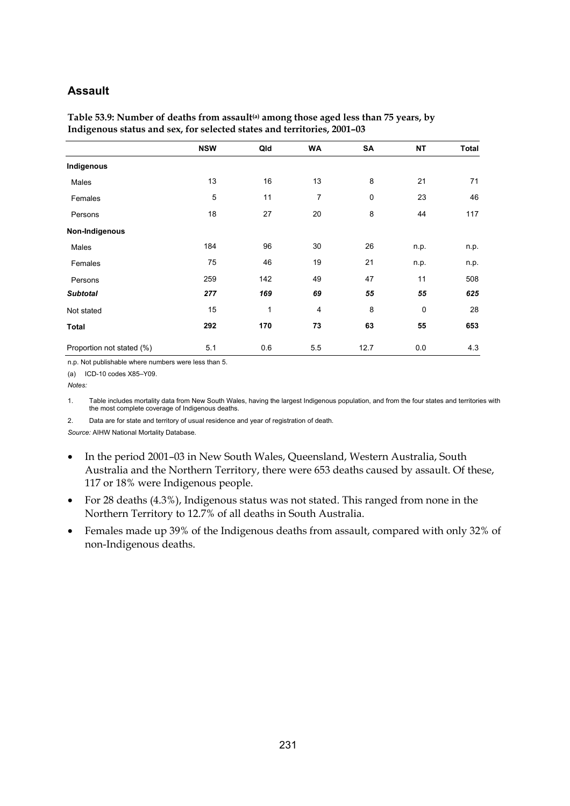#### **Assault**

| ັ                         |            |     |                |           |             |       |
|---------------------------|------------|-----|----------------|-----------|-------------|-------|
|                           | <b>NSW</b> | Qld | <b>WA</b>      | SA        | <b>NT</b>   | Total |
| Indigenous                |            |     |                |           |             |       |
| Males                     | 13         | 16  | 13             | 8         | 21          | 71    |
| Females                   | 5          | 11  | $\overline{7}$ | $\pmb{0}$ | 23          | 46    |
| Persons                   | 18         | 27  | 20             | 8         | 44          | 117   |
| Non-Indigenous            |            |     |                |           |             |       |
| Males                     | 184        | 96  | 30             | 26        | n.p.        | n.p.  |
| Females                   | 75         | 46  | 19             | 21        | n.p.        | n.p.  |
| Persons                   | 259        | 142 | 49             | 47        | 11          | 508   |
| <b>Subtotal</b>           | 277        | 169 | 69             | 55        | 55          | 625   |
| Not stated                | 15         | 1   | 4              | 8         | $\mathbf 0$ | 28    |
| <b>Total</b>              | 292        | 170 | 73             | 63        | 55          | 653   |
| Proportion not stated (%) | 5.1        | 0.6 | 5.5            | 12.7      | 0.0         | 4.3   |

Table 53.9: Number of deaths from assault<sup>(a)</sup> among those aged less than 75 years, by **Indigenous status and sex, for selected states and territories, 2001–03** 

n.p. Not publishable where numbers were less than 5.

(a) ICD-10 codes X85–Y09.

*Notes:* 

1. Table includes mortality data from New South Wales, having the largest Indigenous population, and from the four states and territories with the most complete coverage of Indigenous deaths.

2. Data are for state and territory of usual residence and year of registration of death.

- In the period 2001–03 in New South Wales, Queensland, Western Australia, South Australia and the Northern Territory, there were 653 deaths caused by assault. Of these, 117 or 18% were Indigenous people.
- For 28 deaths (4.3%), Indigenous status was not stated. This ranged from none in the Northern Territory to 12.7% of all deaths in South Australia.
- Females made up 39% of the Indigenous deaths from assault, compared with only 32% of non-Indigenous deaths.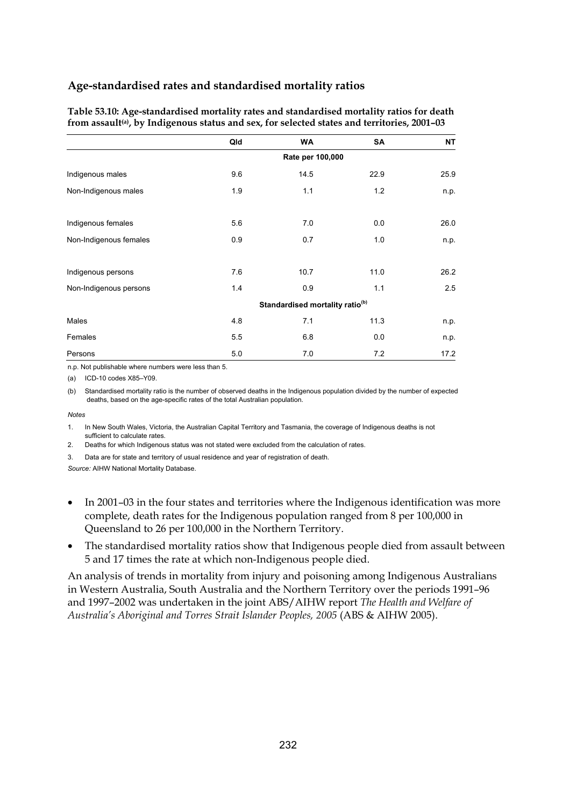| Table 53.10: Age-standardised mortality rates and standardised mortality ratios for death                |
|----------------------------------------------------------------------------------------------------------|
| from assault <sup>(a)</sup> , by Indigenous status and sex, for selected states and territories, 2001-03 |

|                        | Qld              | <b>WA</b>                                   | SA   | <b>NT</b> |  |  |  |
|------------------------|------------------|---------------------------------------------|------|-----------|--|--|--|
|                        | Rate per 100,000 |                                             |      |           |  |  |  |
| Indigenous males       | 9.6              | 14.5                                        | 22.9 | 25.9      |  |  |  |
| Non-Indigenous males   | 1.9              | 1.1                                         | 1.2  | n.p.      |  |  |  |
| Indigenous females     | 5.6              | 7.0                                         | 0.0  | 26.0      |  |  |  |
| Non-Indigenous females | 0.9              | 0.7                                         | 1.0  | n.p.      |  |  |  |
| Indigenous persons     | 7.6              | 10.7                                        | 11.0 | 26.2      |  |  |  |
| Non-Indigenous persons | 1.4              | 0.9                                         | 1.1  | 2.5       |  |  |  |
|                        |                  | Standardised mortality ratio <sup>(b)</sup> |      |           |  |  |  |
| Males                  | 4.8              | 7.1                                         | 11.3 | n.p.      |  |  |  |
| Females                | 5.5              | 6.8                                         | 0.0  | n.p.      |  |  |  |
| Persons                | 5.0              | 7.0                                         | 7.2  | 17.2      |  |  |  |

n.p. Not publishable where numbers were less than 5.

(a) ICD-10 codes X85–Y09.

(b) Standardised mortality ratio is the number of observed deaths in the Indigenous population divided by the number of expected deaths, based on the age-specific rates of the total Australian population.

#### *Notes*

1. In New South Wales, Victoria, the Australian Capital Territory and Tasmania, the coverage of Indigenous deaths is not sufficient to calculate rates.

2. Deaths for which Indigenous status was not stated were excluded from the calculation of rates.

3. Data are for state and territory of usual residence and year of registration of death.

*Source:* AIHW National Mortality Database.

- In 2001–03 in the four states and territories where the Indigenous identification was more complete, death rates for the Indigenous population ranged from 8 per 100,000 in Queensland to 26 per 100,000 in the Northern Territory.
- The standardised mortality ratios show that Indigenous people died from assault between 5 and 17 times the rate at which non-Indigenous people died.

An analysis of trends in mortality from injury and poisoning among Indigenous Australians in Western Australia, South Australia and the Northern Territory over the periods 1991–96 and 1997–2002 was undertaken in the joint ABS/AIHW report *The Health and Welfare of Australia's Aboriginal and Torres Strait Islander Peoples, 2005* (ABS & AIHW 2005).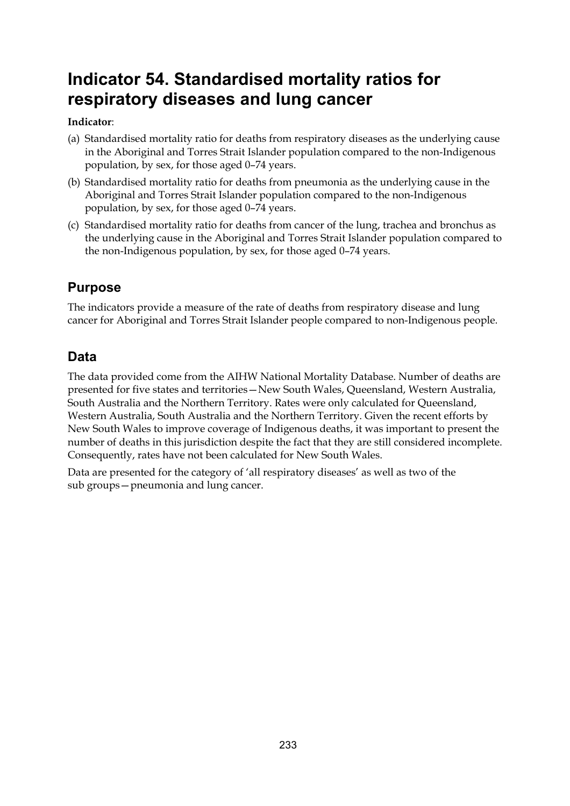# **Indicator 54. Standardised mortality ratios for respiratory diseases and lung cancer**

### **Indicator**:

- (a) Standardised mortality ratio for deaths from respiratory diseases as the underlying cause in the Aboriginal and Torres Strait Islander population compared to the non-Indigenous population, by sex, for those aged 0–74 years.
- (b) Standardised mortality ratio for deaths from pneumonia as the underlying cause in the Aboriginal and Torres Strait Islander population compared to the non-Indigenous population, by sex, for those aged 0–74 years.
- (c) Standardised mortality ratio for deaths from cancer of the lung, trachea and bronchus as the underlying cause in the Aboriginal and Torres Strait Islander population compared to the non-Indigenous population, by sex, for those aged 0–74 years.

# **Purpose**

The indicators provide a measure of the rate of deaths from respiratory disease and lung cancer for Aboriginal and Torres Strait Islander people compared to non-Indigenous people.

# **Data**

The data provided come from the AIHW National Mortality Database. Number of deaths are presented for five states and territories—New South Wales, Queensland, Western Australia, South Australia and the Northern Territory. Rates were only calculated for Queensland, Western Australia, South Australia and the Northern Territory. Given the recent efforts by New South Wales to improve coverage of Indigenous deaths, it was important to present the number of deaths in this jurisdiction despite the fact that they are still considered incomplete. Consequently, rates have not been calculated for New South Wales.

Data are presented for the category of 'all respiratory diseases' as well as two of the sub groups—pneumonia and lung cancer.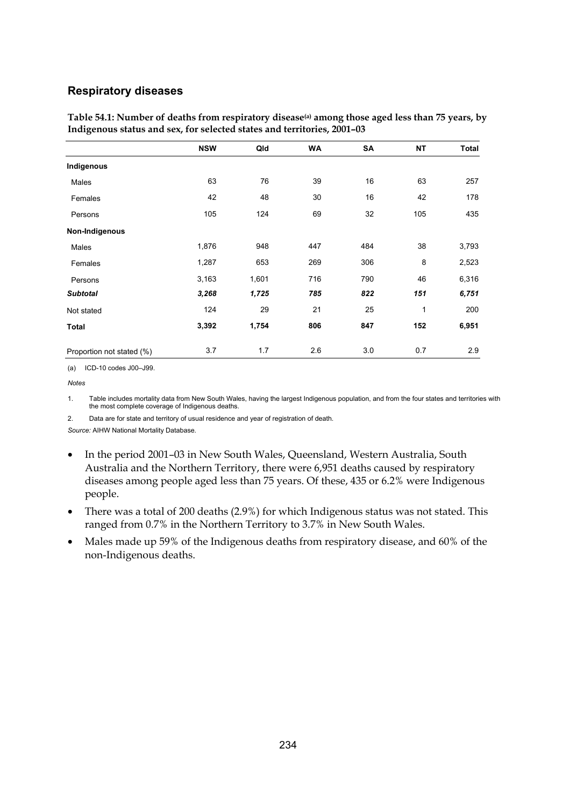#### **Respiratory diseases**

|                           | <b>NSW</b> | Qld   | <b>WA</b> | SA  | <b>NT</b>    | Total |
|---------------------------|------------|-------|-----------|-----|--------------|-------|
| Indigenous                |            |       |           |     |              |       |
| Males                     | 63         | 76    | 39        | 16  | 63           | 257   |
| Females                   | 42         | 48    | 30        | 16  | 42           | 178   |
| Persons                   | 105        | 124   | 69        | 32  | 105          | 435   |
| Non-Indigenous            |            |       |           |     |              |       |
| Males                     | 1,876      | 948   | 447       | 484 | 38           | 3,793 |
| Females                   | 1,287      | 653   | 269       | 306 | 8            | 2,523 |
| Persons                   | 3,163      | 1,601 | 716       | 790 | 46           | 6,316 |
| <b>Subtotal</b>           | 3,268      | 1,725 | 785       | 822 | 151          | 6,751 |
| Not stated                | 124        | 29    | 21        | 25  | $\mathbf{1}$ | 200   |
| <b>Total</b>              | 3,392      | 1,754 | 806       | 847 | 152          | 6,951 |
| Proportion not stated (%) | 3.7        | 1.7   | 2.6       | 3.0 | 0.7          | 2.9   |

**Table 54.1: Number of deaths from respiratory disease(a) among those aged less than 75 years, by Indigenous status and sex, for selected states and territories, 2001–03** 

(a) ICD-10 codes J00–J99.

1. Table includes mortality data from New South Wales, having the largest Indigenous population, and from the four states and territories with the most complete coverage of Indigenous deaths.

2. Data are for state and territory of usual residence and year of registration of death.

- In the period 2001–03 in New South Wales, Queensland, Western Australia, South Australia and the Northern Territory, there were 6,951 deaths caused by respiratory diseases among people aged less than 75 years. Of these, 435 or 6.2% were Indigenous people.
- There was a total of 200 deaths (2.9%) for which Indigenous status was not stated. This ranged from 0.7% in the Northern Territory to 3.7% in New South Wales.
- Males made up 59% of the Indigenous deaths from respiratory disease, and 60% of the non-Indigenous deaths.

*Notes*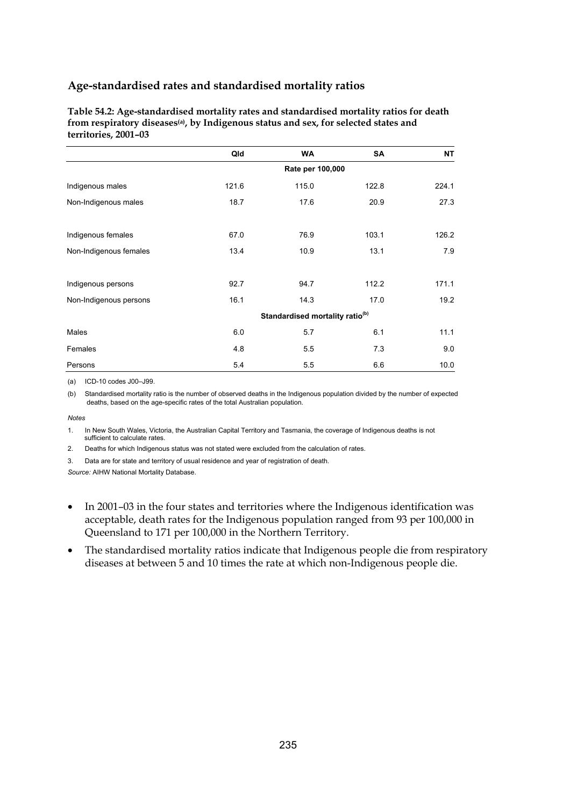**Table 54.2: Age-standardised mortality rates and standardised mortality ratios for death from respiratory diseases(a), by Indigenous status and sex, for selected states and territories, 2001–03** 

|                        | Qld              | <b>WA</b>                                   | <b>SA</b> | <b>NT</b> |  |  |  |
|------------------------|------------------|---------------------------------------------|-----------|-----------|--|--|--|
|                        | Rate per 100,000 |                                             |           |           |  |  |  |
| Indigenous males       | 121.6            | 115.0                                       | 122.8     | 224.1     |  |  |  |
| Non-Indigenous males   | 18.7             | 17.6                                        | 20.9      | 27.3      |  |  |  |
| Indigenous females     | 67.0             | 76.9                                        | 103.1     | 126.2     |  |  |  |
| Non-Indigenous females | 13.4             | 10.9                                        | 13.1      | 7.9       |  |  |  |
| Indigenous persons     | 92.7             | 94.7                                        | 112.2     | 171.1     |  |  |  |
| Non-Indigenous persons | 16.1             | 14.3                                        | 17.0      | 19.2      |  |  |  |
|                        |                  | Standardised mortality ratio <sup>(b)</sup> |           |           |  |  |  |
| Males                  | 6.0              | 5.7                                         | 6.1       | 11.1      |  |  |  |
| Females                | 4.8              | 5.5                                         | 7.3       | 9.0       |  |  |  |
| Persons                | 5.4              | 5.5                                         | 6.6       | 10.0      |  |  |  |

(a) ICD-10 codes J00–J99.

(b) Standardised mortality ratio is the number of observed deaths in the Indigenous population divided by the number of expected deaths, based on the age-specific rates of the total Australian population.

*Notes* 

1. In New South Wales, Victoria, the Australian Capital Territory and Tasmania, the coverage of Indigenous deaths is not sufficient to calculate rates.

2. Deaths for which Indigenous status was not stated were excluded from the calculation of rates.

3. Data are for state and territory of usual residence and year of registration of death.

- In 2001–03 in the four states and territories where the Indigenous identification was acceptable, death rates for the Indigenous population ranged from 93 per 100,000 in Queensland to 171 per 100,000 in the Northern Territory.
- The standardised mortality ratios indicate that Indigenous people die from respiratory diseases at between 5 and 10 times the rate at which non-Indigenous people die.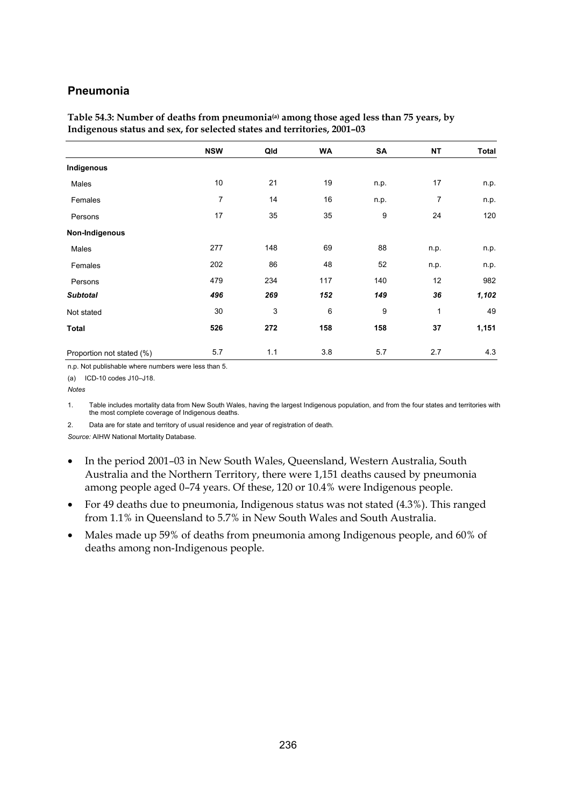#### **Pneumonia**

|                           | <b>NSW</b>     | Qld         | <b>WA</b> | SA   | <b>NT</b> | Total |
|---------------------------|----------------|-------------|-----------|------|-----------|-------|
| Indigenous                |                |             |           |      |           |       |
| Males                     | 10             | 21          | 19        | n.p. | 17        | n.p.  |
| Females                   | $\overline{7}$ | 14          | 16        | n.p. | 7         | n.p.  |
| Persons                   | 17             | 35          | 35        | 9    | 24        | 120   |
| Non-Indigenous            |                |             |           |      |           |       |
| Males                     | 277            | 148         | 69        | 88   | n.p.      | n.p.  |
| Females                   | 202            | 86          | 48        | 52   | n.p.      | n.p.  |
| Persons                   | 479            | 234         | 117       | 140  | 12        | 982   |
| <b>Subtotal</b>           | 496            | 269         | 152       | 149  | 36        | 1,102 |
| Not stated                | 30             | $\mathsf 3$ | 6         | 9    | 1         | 49    |
| <b>Total</b>              | 526            | 272         | 158       | 158  | 37        | 1,151 |
| Proportion not stated (%) | 5.7            | 1.1         | 3.8       | 5.7  | 2.7       | 4.3   |

**Table 54.3: Number of deaths from pneumonia(a) among those aged less than 75 years, by Indigenous status and sex, for selected states and territories, 2001–03** 

n.p. Not publishable where numbers were less than 5.

(a) ICD-10 codes J10–J18.

*Notes* 

1. Table includes mortality data from New South Wales, having the largest Indigenous population, and from the four states and territories with the most complete coverage of Indigenous deaths.

2. Data are for state and territory of usual residence and year of registration of death.

- In the period 2001–03 in New South Wales, Queensland, Western Australia, South Australia and the Northern Territory, there were 1,151 deaths caused by pneumonia among people aged 0–74 years. Of these, 120 or 10.4% were Indigenous people.
- For 49 deaths due to pneumonia, Indigenous status was not stated (4.3%). This ranged from 1.1% in Queensland to 5.7% in New South Wales and South Australia.
- Males made up 59% of deaths from pneumonia among Indigenous people, and 60% of deaths among non-Indigenous people.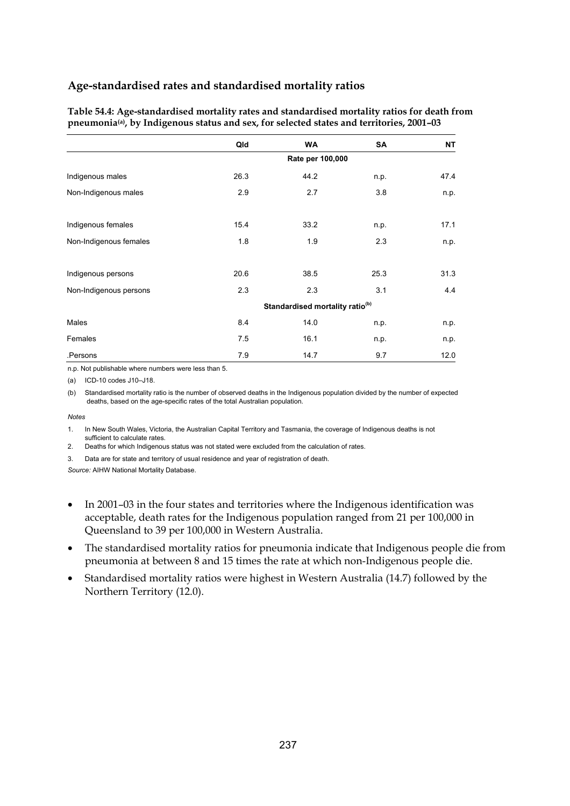| Table 54.4: Age-standardised mortality rates and standardised mortality ratios for death from         |  |
|-------------------------------------------------------------------------------------------------------|--|
| pneumonia <sup>(a)</sup> , by Indigenous status and sex, for selected states and territories, 2001-03 |  |

|                        | Qld                                         | <b>WA</b> | SA   | <b>NT</b> |  |  |  |
|------------------------|---------------------------------------------|-----------|------|-----------|--|--|--|
|                        | Rate per 100,000                            |           |      |           |  |  |  |
| Indigenous males       | 26.3                                        | 44.2      | n.p. | 47.4      |  |  |  |
| Non-Indigenous males   | 2.9                                         | 2.7       | 3.8  | n.p.      |  |  |  |
| Indigenous females     | 15.4                                        | 33.2      | n.p. | 17.1      |  |  |  |
| Non-Indigenous females | 1.8                                         | 1.9       | 2.3  | n.p.      |  |  |  |
| Indigenous persons     | 20.6                                        | 38.5      | 25.3 | 31.3      |  |  |  |
| Non-Indigenous persons | 2.3                                         | 2.3       | 3.1  | 4.4       |  |  |  |
|                        | Standardised mortality ratio <sup>(b)</sup> |           |      |           |  |  |  |
| Males                  | 8.4                                         | 14.0      | n.p. | n.p.      |  |  |  |
| Females                | 7.5                                         | 16.1      | n.p. | n.p.      |  |  |  |
| .Persons               | 7.9                                         | 14.7      | 9.7  | 12.0      |  |  |  |

n.p. Not publishable where numbers were less than 5.

(a) ICD-10 codes J10–J18.

(b) Standardised mortality ratio is the number of observed deaths in the Indigenous population divided by the number of expected deaths, based on the age-specific rates of the total Australian population.

#### *Notes*

1. In New South Wales, Victoria, the Australian Capital Territory and Tasmania, the coverage of Indigenous deaths is not sufficient to calculate rates.

2. Deaths for which Indigenous status was not stated were excluded from the calculation of rates.

3. Data are for state and territory of usual residence and year of registration of death.

- In 2001–03 in the four states and territories where the Indigenous identification was acceptable, death rates for the Indigenous population ranged from 21 per 100,000 in Queensland to 39 per 100,000 in Western Australia.
- The standardised mortality ratios for pneumonia indicate that Indigenous people die from pneumonia at between 8 and 15 times the rate at which non-Indigenous people die.
- Standardised mortality ratios were highest in Western Australia (14.7) followed by the Northern Territory (12.0).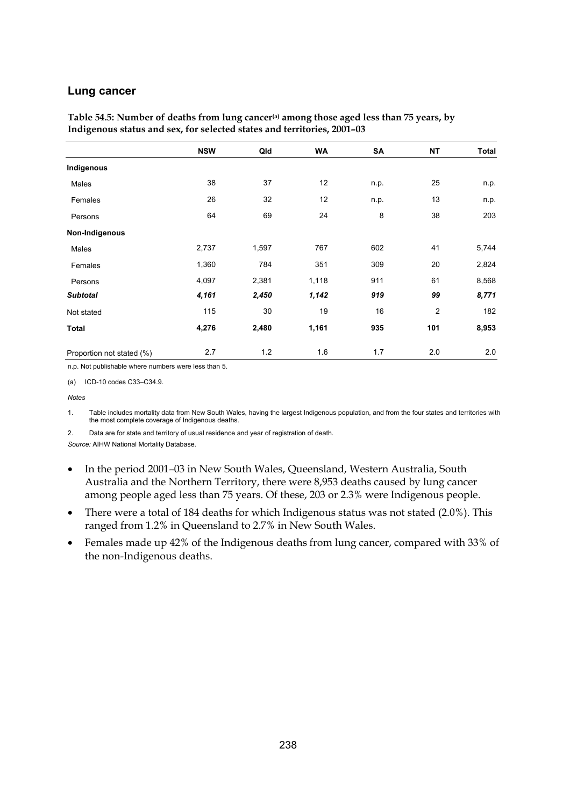#### **Lung cancer**

|                           | <b>NSW</b> | Qld   | <b>WA</b> | SA   | <b>NT</b>      | Total |
|---------------------------|------------|-------|-----------|------|----------------|-------|
| Indigenous                |            |       |           |      |                |       |
| Males                     | 38         | 37    | 12        | n.p. | 25             | n.p.  |
| Females                   | 26         | 32    | 12        | n.p. | 13             | n.p.  |
| Persons                   | 64         | 69    | 24        | 8    | 38             | 203   |
| Non-Indigenous            |            |       |           |      |                |       |
| Males                     | 2,737      | 1,597 | 767       | 602  | 41             | 5,744 |
| Females                   | 1,360      | 784   | 351       | 309  | 20             | 2,824 |
| Persons                   | 4,097      | 2,381 | 1,118     | 911  | 61             | 8,568 |
| <b>Subtotal</b>           | 4,161      | 2,450 | 1,142     | 919  | 99             | 8,771 |
| Not stated                | 115        | 30    | 19        | 16   | $\overline{2}$ | 182   |
| <b>Total</b>              | 4,276      | 2,480 | 1,161     | 935  | 101            | 8,953 |
| Proportion not stated (%) | 2.7        | 1.2   | 1.6       | 1.7  | 2.0            | 2.0   |

Table 54.5: Number of deaths from lung cancer<sup>(a)</sup> among those aged less than 75 years, by **Indigenous status and sex, for selected states and territories, 2001–03** 

n.p. Not publishable where numbers were less than 5.

(a) ICD-10 codes C33–C34.9.

#### *Notes*

1. Table includes mortality data from New South Wales, having the largest Indigenous population, and from the four states and territories with the most complete coverage of Indigenous deaths.

2. Data are for state and territory of usual residence and year of registration of death.

- In the period 2001–03 in New South Wales, Queensland, Western Australia, South Australia and the Northern Territory, there were 8,953 deaths caused by lung cancer among people aged less than 75 years. Of these, 203 or 2.3% were Indigenous people.
- There were a total of 184 deaths for which Indigenous status was not stated (2.0%). This ranged from 1.2% in Queensland to 2.7% in New South Wales.
- Females made up 42% of the Indigenous deaths from lung cancer, compared with 33% of the non-Indigenous deaths.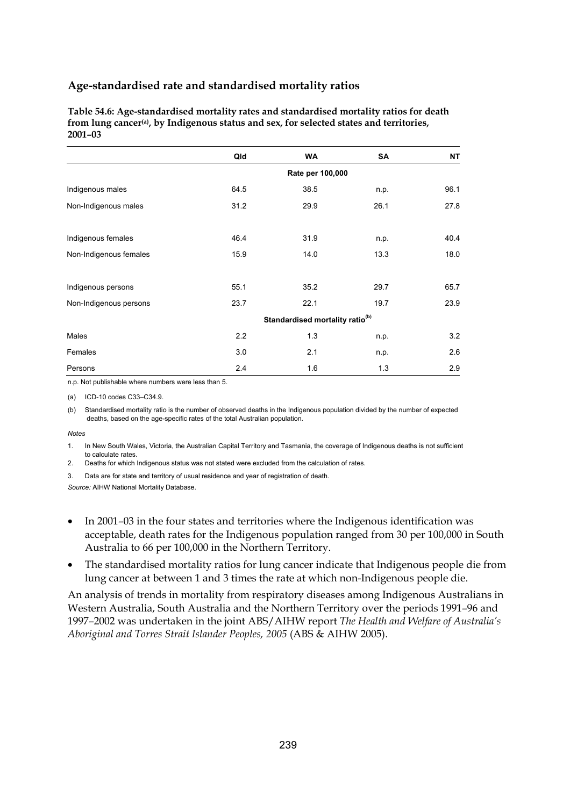**Table 54.6: Age-standardised mortality rates and standardised mortality ratios for death from lung cancer(a), by Indigenous status and sex, for selected states and territories, 2001–03** 

|                        | Qld                                         | <b>WA</b> | SA   | NΤ   |  |  |  |
|------------------------|---------------------------------------------|-----------|------|------|--|--|--|
|                        | Rate per 100,000                            |           |      |      |  |  |  |
| Indigenous males       | 64.5                                        | 38.5      | n.p. | 96.1 |  |  |  |
| Non-Indigenous males   | 31.2                                        | 29.9      | 26.1 | 27.8 |  |  |  |
| Indigenous females     | 46.4                                        | 31.9      | n.p. | 40.4 |  |  |  |
| Non-Indigenous females | 15.9                                        | 14.0      | 13.3 | 18.0 |  |  |  |
| Indigenous persons     | 55.1                                        | 35.2      | 29.7 | 65.7 |  |  |  |
| Non-Indigenous persons | 23.7                                        | 22.1      | 19.7 | 23.9 |  |  |  |
|                        | Standardised mortality ratio <sup>(b)</sup> |           |      |      |  |  |  |
| Males                  | 2.2                                         | 1.3       | n.p. | 3.2  |  |  |  |
| Females                | 3.0                                         | 2.1       | n.p. | 2.6  |  |  |  |
| Persons                | 2.4                                         | 1.6       | 1.3  | 2.9  |  |  |  |

n.p. Not publishable where numbers were less than 5.

(a) ICD-10 codes C33–C34.9.

(b) Standardised mortality ratio is the number of observed deaths in the Indigenous population divided by the number of expected deaths, based on the age-specific rates of the total Australian population.

#### *Notes*

1. In New South Wales, Victoria, the Australian Capital Territory and Tasmania, the coverage of Indigenous deaths is not sufficient to calculate rates.

2. Deaths for which Indigenous status was not stated were excluded from the calculation of rates.

3. Data are for state and territory of usual residence and year of registration of death.

*Source:* AIHW National Mortality Database.

- In 2001–03 in the four states and territories where the Indigenous identification was acceptable, death rates for the Indigenous population ranged from 30 per 100,000 in South Australia to 66 per 100,000 in the Northern Territory.
- The standardised mortality ratios for lung cancer indicate that Indigenous people die from lung cancer at between 1 and 3 times the rate at which non-Indigenous people die.

An analysis of trends in mortality from respiratory diseases among Indigenous Australians in Western Australia, South Australia and the Northern Territory over the periods 1991–96 and 1997–2002 was undertaken in the joint ABS/AIHW report *The Health and Welfare of Australia's Aboriginal and Torres Strait Islander Peoples, 2005* (ABS & AIHW 2005).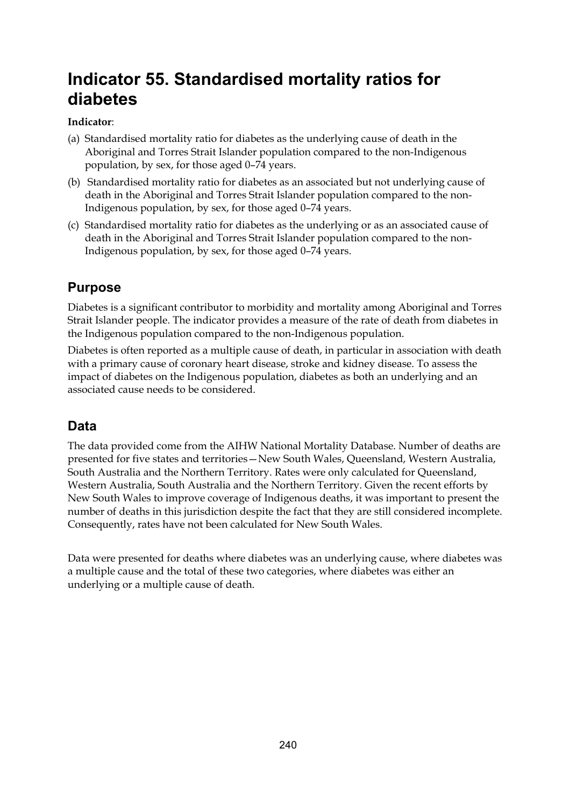# **Indicator 55. Standardised mortality ratios for diabetes**

### **Indicator**:

- (a) Standardised mortality ratio for diabetes as the underlying cause of death in the Aboriginal and Torres Strait Islander population compared to the non-Indigenous population, by sex, for those aged 0–74 years.
- (b) Standardised mortality ratio for diabetes as an associated but not underlying cause of death in the Aboriginal and Torres Strait Islander population compared to the non-Indigenous population, by sex, for those aged 0–74 years.
- (c) Standardised mortality ratio for diabetes as the underlying or as an associated cause of death in the Aboriginal and Torres Strait Islander population compared to the non-Indigenous population, by sex, for those aged 0–74 years.

# **Purpose**

Diabetes is a significant contributor to morbidity and mortality among Aboriginal and Torres Strait Islander people. The indicator provides a measure of the rate of death from diabetes in the Indigenous population compared to the non-Indigenous population.

Diabetes is often reported as a multiple cause of death, in particular in association with death with a primary cause of coronary heart disease, stroke and kidney disease. To assess the impact of diabetes on the Indigenous population, diabetes as both an underlying and an associated cause needs to be considered.

# **Data**

The data provided come from the AIHW National Mortality Database. Number of deaths are presented for five states and territories—New South Wales, Queensland, Western Australia, South Australia and the Northern Territory. Rates were only calculated for Queensland, Western Australia, South Australia and the Northern Territory. Given the recent efforts by New South Wales to improve coverage of Indigenous deaths, it was important to present the number of deaths in this jurisdiction despite the fact that they are still considered incomplete. Consequently, rates have not been calculated for New South Wales.

Data were presented for deaths where diabetes was an underlying cause, where diabetes was a multiple cause and the total of these two categories, where diabetes was either an underlying or a multiple cause of death.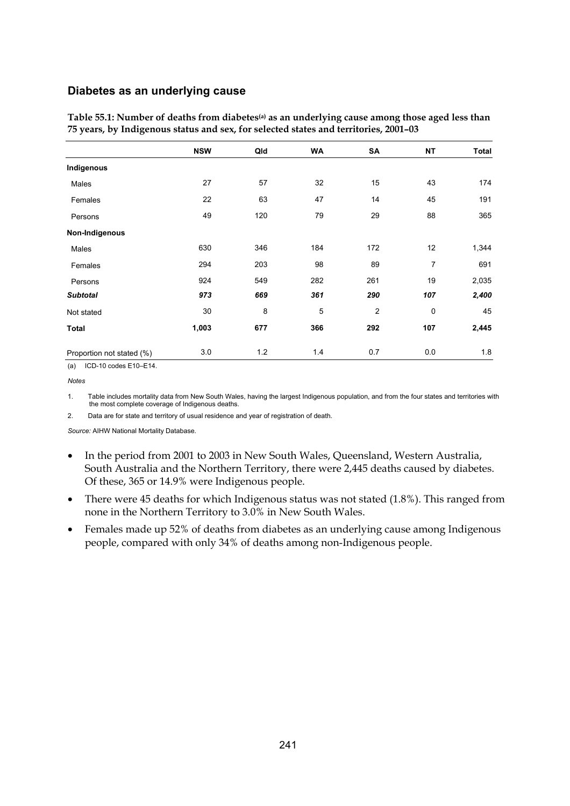#### **Diabetes as an underlying cause**

|                           | <b>NSW</b> | Qld | WA             | SA             | <b>NT</b> | Total |
|---------------------------|------------|-----|----------------|----------------|-----------|-------|
| Indigenous                |            |     |                |                |           |       |
| Males                     | 27         | 57  | 32             | 15             | 43        | 174   |
| Females                   | 22         | 63  | 47             | 14             | 45        | 191   |
| Persons                   | 49         | 120 | 79             | 29             | 88        | 365   |
| Non-Indigenous            |            |     |                |                |           |       |
| Males                     | 630        | 346 | 184            | 172            | 12        | 1,344 |
| Females                   | 294        | 203 | 98             | 89             | 7         | 691   |
| Persons                   | 924        | 549 | 282            | 261            | 19        | 2,035 |
| <b>Subtotal</b>           | 973        | 669 | 361            | 290            | 107       | 2,400 |
| Not stated                | 30         | 8   | $\overline{5}$ | $\overline{c}$ | 0         | 45    |
| <b>Total</b>              | 1,003      | 677 | 366            | 292            | 107       | 2,445 |
| Proportion not stated (%) | 3.0        | 1.2 | 1.4            | 0.7            | 0.0       | 1.8   |

**Table 55.1: Number of deaths from diabetes(a) as an underlying cause among those aged less than 75 years, by Indigenous status and sex, for selected states and territories, 2001–03** 

(a) ICD-10 codes E10–E14.

1. Table includes mortality data from New South Wales, having the largest Indigenous population, and from the four states and territories with the most complete coverage of Indigenous deaths.

2. Data are for state and territory of usual residence and year of registration of death.

- In the period from 2001 to 2003 in New South Wales, Queensland, Western Australia, South Australia and the Northern Territory, there were 2,445 deaths caused by diabetes. Of these, 365 or 14.9% were Indigenous people.
- There were 45 deaths for which Indigenous status was not stated (1.8%). This ranged from none in the Northern Territory to 3.0% in New South Wales.
- Females made up 52% of deaths from diabetes as an underlying cause among Indigenous people, compared with only 34% of deaths among non-Indigenous people.

*Notes*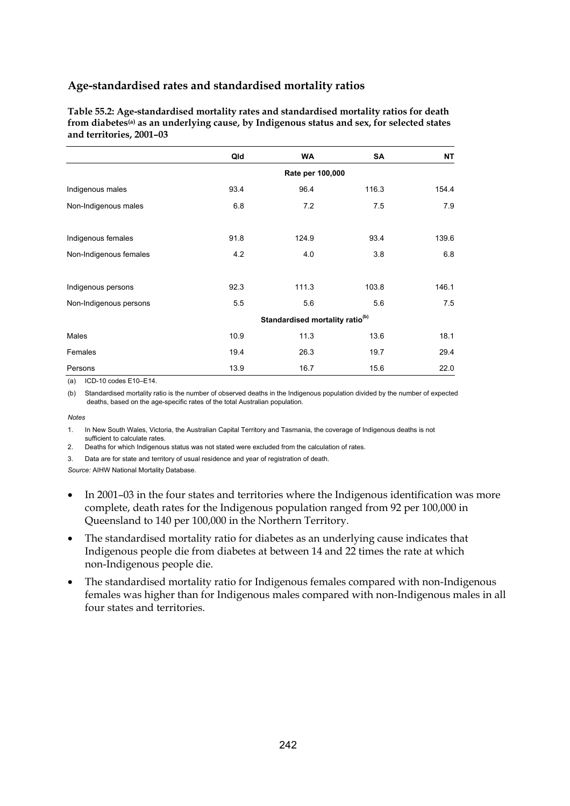**Table 55.2: Age-standardised mortality rates and standardised mortality ratios for death from diabetes(a) as an underlying cause, by Indigenous status and sex, for selected states and territories, 2001–03** 

|                        | Qld                                         | <b>WA</b> | SA    | NΤ    |  |  |  |
|------------------------|---------------------------------------------|-----------|-------|-------|--|--|--|
|                        | Rate per 100,000                            |           |       |       |  |  |  |
| Indigenous males       | 93.4                                        | 96.4      | 116.3 | 154.4 |  |  |  |
| Non-Indigenous males   | 6.8                                         | 7.2       | 7.5   | 7.9   |  |  |  |
| Indigenous females     | 91.8                                        | 124.9     | 93.4  | 139.6 |  |  |  |
| Non-Indigenous females | 4.2                                         | 4.0       | 3.8   | 6.8   |  |  |  |
| Indigenous persons     | 92.3                                        | 111.3     | 103.8 | 146.1 |  |  |  |
| Non-Indigenous persons | 5.5                                         | 5.6       | 5.6   | 7.5   |  |  |  |
|                        | Standardised mortality ratio <sup>(b)</sup> |           |       |       |  |  |  |
| Males                  | 10.9                                        | 11.3      | 13.6  | 18.1  |  |  |  |
| Females                | 19.4                                        | 26.3      | 19.7  | 29.4  |  |  |  |
| Persons                | 13.9                                        | 16.7      | 15.6  | 22.0  |  |  |  |

(a) ICD-10 codes E10–E14.

(b) Standardised mortality ratio is the number of observed deaths in the Indigenous population divided by the number of expected deaths, based on the age-specific rates of the total Australian population.

#### *Notes*

1. In New South Wales, Victoria, the Australian Capital Territory and Tasmania, the coverage of Indigenous deaths is not sufficient to calculate rates.

2. Deaths for which Indigenous status was not stated were excluded from the calculation of rates.

3. Data are for state and territory of usual residence and year of registration of death.

- In 2001–03 in the four states and territories where the Indigenous identification was more complete, death rates for the Indigenous population ranged from 92 per 100,000 in Queensland to 140 per 100,000 in the Northern Territory.
- The standardised mortality ratio for diabetes as an underlying cause indicates that Indigenous people die from diabetes at between 14 and 22 times the rate at which non-Indigenous people die.
- The standardised mortality ratio for Indigenous females compared with non-Indigenous females was higher than for Indigenous males compared with non-Indigenous males in all four states and territories.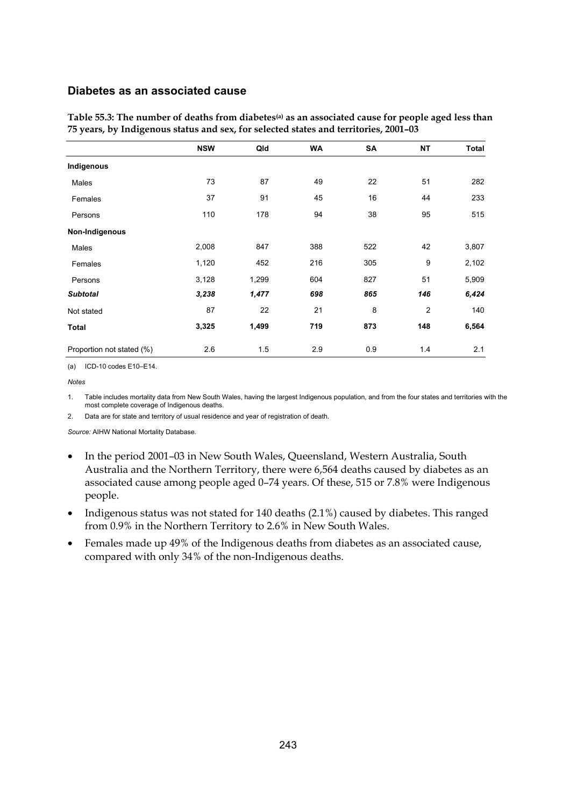#### **Diabetes as an associated cause**

|                           | <b>NSW</b> | Qld   | <b>WA</b> | SA  | <b>NT</b> | <b>Total</b> |
|---------------------------|------------|-------|-----------|-----|-----------|--------------|
| Indigenous                |            |       |           |     |           |              |
| Males                     | 73         | 87    | 49        | 22  | 51        | 282          |
| Females                   | 37         | 91    | 45        | 16  | 44        | 233          |
| Persons                   | 110        | 178   | 94        | 38  | 95        | 515          |
| Non-Indigenous            |            |       |           |     |           |              |
| Males                     | 2,008      | 847   | 388       | 522 | 42        | 3,807        |
| Females                   | 1,120      | 452   | 216       | 305 | 9         | 2,102        |
| Persons                   | 3,128      | 1,299 | 604       | 827 | 51        | 5,909        |
| <b>Subtotal</b>           | 3,238      | 1,477 | 698       | 865 | 146       | 6,424        |
| Not stated                | 87         | 22    | 21        | 8   | 2         | 140          |
| <b>Total</b>              | 3,325      | 1,499 | 719       | 873 | 148       | 6,564        |
| Proportion not stated (%) | 2.6        | 1.5   | 2.9       | 0.9 | 1.4       | 2.1          |

Table 55.3: The number of deaths from diabetes<sup>(a)</sup> as an associated cause for people aged less than **75 years, by Indigenous status and sex, for selected states and territories, 2001–03** 

(a) ICD-10 codes E10–E14.

#### *Notes*

1. Table includes mortality data from New South Wales, having the largest Indigenous population, and from the four states and territories with the most complete coverage of Indigenous deaths.

2. Data are for state and territory of usual residence and year of registration of death.

- In the period 2001–03 in New South Wales, Queensland, Western Australia, South Australia and the Northern Territory, there were 6,564 deaths caused by diabetes as an associated cause among people aged 0–74 years. Of these, 515 or 7.8% were Indigenous people.
- Indigenous status was not stated for 140 deaths (2.1%) caused by diabetes. This ranged from 0.9% in the Northern Territory to 2.6% in New South Wales.
- Females made up 49% of the Indigenous deaths from diabetes as an associated cause, compared with only 34% of the non-Indigenous deaths.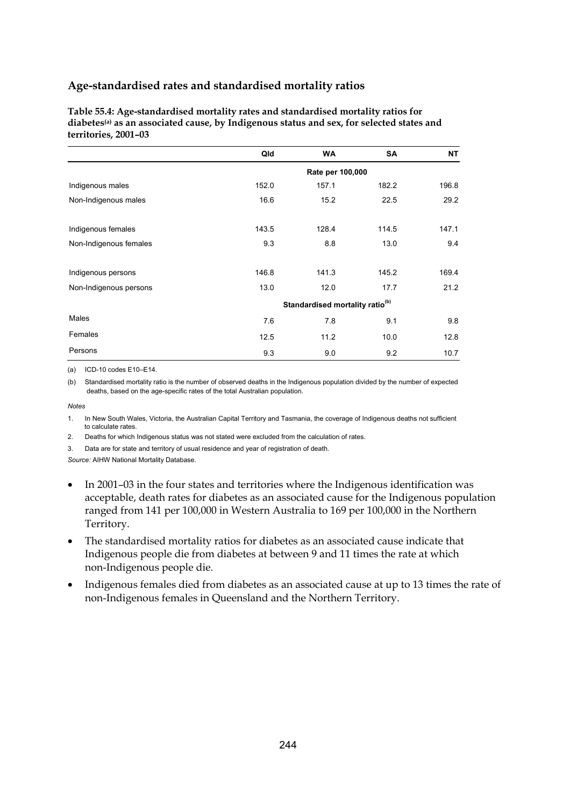**Table 55.4: Age-standardised mortality rates and standardised mortality ratios for**  diabetes<sup>(a)</sup> as an associated cause, by Indigenous status and sex, for selected states and **territories, 2001–03** 

|                        | Qld                                         | <b>WA</b> | <b>SA</b> | <b>NT</b> |  |  |
|------------------------|---------------------------------------------|-----------|-----------|-----------|--|--|
|                        | Rate per 100,000                            |           |           |           |  |  |
| Indigenous males       | 152.0                                       | 157.1     | 182.2     | 196.8     |  |  |
| Non-Indigenous males   | 16.6                                        | 15.2      | 22.5      | 29.2      |  |  |
| Indigenous females     | 143.5                                       | 128.4     | 114.5     | 147.1     |  |  |
| Non-Indigenous females | 9.3                                         | 8.8       | 13.0      | 9.4       |  |  |
| Indigenous persons     | 146.8                                       | 141.3     | 145.2     | 169.4     |  |  |
| Non-Indigenous persons | 13.0                                        | 12.0      | 17.7      | 21.2      |  |  |
|                        | Standardised mortality ratio <sup>(b)</sup> |           |           |           |  |  |
| Males                  | 7.6                                         | 7.8       | 9.1       | 9.8       |  |  |
| Females                | 12.5                                        | 11.2      | 10.0      | 12.8      |  |  |
| Persons                | 9.3                                         | 9.0       | 9.2       | 10.7      |  |  |

(a) ICD-10 codes E10–E14.

(b) Standardised mortality ratio is the number of observed deaths in the Indigenous population divided by the number of expected deaths, based on the age-specific rates of the total Australian population.

*Notes* 

1. In New South Wales, Victoria, the Australian Capital Territory and Tasmania, the coverage of Indigenous deaths not sufficient to calculate rates

2. Deaths for which Indigenous status was not stated were excluded from the calculation of rates.

3. Data are for state and territory of usual residence and year of registration of death.

- In 2001–03 in the four states and territories where the Indigenous identification was acceptable, death rates for diabetes as an associated cause for the Indigenous population ranged from 141 per 100,000 in Western Australia to 169 per 100,000 in the Northern Territory.
- The standardised mortality ratios for diabetes as an associated cause indicate that Indigenous people die from diabetes at between 9 and 11 times the rate at which non-Indigenous people die.
- Indigenous females died from diabetes as an associated cause at up to 13 times the rate of non-Indigenous females in Queensland and the Northern Territory.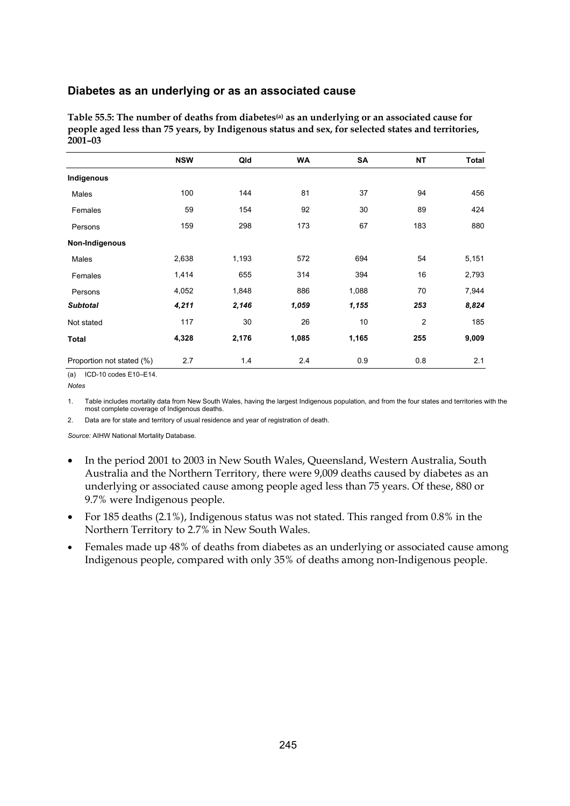#### **Diabetes as an underlying or as an associated cause**

| Table 55.5: The number of deaths from diabetes <sup>(a)</sup> as an underlying or an associated cause for |
|-----------------------------------------------------------------------------------------------------------|
| people aged less than 75 years, by Indigenous status and sex, for selected states and territories.        |
| $2001 - 03$                                                                                               |
|                                                                                                           |

|                           | <b>NSW</b> | Qld   | <b>WA</b> | SA    | <b>NT</b>      | Total |
|---------------------------|------------|-------|-----------|-------|----------------|-------|
| Indigenous                |            |       |           |       |                |       |
| Males                     | 100        | 144   | 81        | 37    | 94             | 456   |
| Females                   | 59         | 154   | 92        | 30    | 89             | 424   |
| Persons                   | 159        | 298   | 173       | 67    | 183            | 880   |
| Non-Indigenous            |            |       |           |       |                |       |
| Males                     | 2,638      | 1,193 | 572       | 694   | 54             | 5,151 |
| Females                   | 1,414      | 655   | 314       | 394   | 16             | 2,793 |
| Persons                   | 4,052      | 1,848 | 886       | 1,088 | 70             | 7,944 |
| <b>Subtotal</b>           | 4,211      | 2,146 | 1,059     | 1,155 | 253            | 8,824 |
| Not stated                | 117        | 30    | 26        | 10    | $\overline{2}$ | 185   |
| <b>Total</b>              | 4,328      | 2,176 | 1,085     | 1,165 | 255            | 9,009 |
| Proportion not stated (%) | 2.7        | 1.4   | 2.4       | 0.9   | 0.8            | 2.1   |

(a) ICD-10 codes E10–E14.

*Notes* 

1. Table includes mortality data from New South Wales, having the largest Indigenous population, and from the four states and territories with the most complete coverage of Indigenous deaths.

2. Data are for state and territory of usual residence and year of registration of death.

- In the period 2001 to 2003 in New South Wales, Queensland, Western Australia, South Australia and the Northern Territory, there were 9,009 deaths caused by diabetes as an underlying or associated cause among people aged less than 75 years. Of these, 880 or 9.7% were Indigenous people.
- For 185 deaths (2.1%), Indigenous status was not stated. This ranged from 0.8% in the Northern Territory to 2.7% in New South Wales.
- Females made up 48% of deaths from diabetes as an underlying or associated cause among Indigenous people, compared with only 35% of deaths among non-Indigenous people.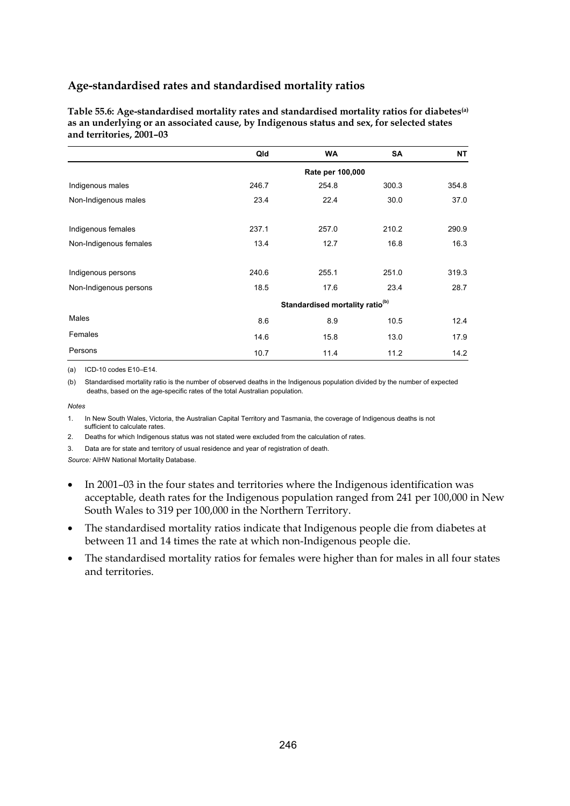**Table 55.6: Age-standardised mortality rates and standardised mortality ratios for diabetes(a) as an underlying or an associated cause, by Indigenous status and sex, for selected states and territories, 2001–03** 

|                        | Qld                                         | <b>WA</b> | <b>SA</b> | <b>NT</b> |  |  |
|------------------------|---------------------------------------------|-----------|-----------|-----------|--|--|
|                        | Rate per 100,000                            |           |           |           |  |  |
| Indigenous males       | 246.7                                       | 254.8     | 300.3     | 354.8     |  |  |
| Non-Indigenous males   | 23.4                                        | 22.4      | 30.0      | 37.0      |  |  |
| Indigenous females     | 237.1                                       | 257.0     | 210.2     | 290.9     |  |  |
| Non-Indigenous females | 13.4                                        | 12.7      | 16.8      | 16.3      |  |  |
| Indigenous persons     | 240.6                                       | 255.1     | 251.0     | 319.3     |  |  |
| Non-Indigenous persons | 18.5                                        | 17.6      | 23.4      | 28.7      |  |  |
|                        | Standardised mortality ratio <sup>(b)</sup> |           |           |           |  |  |
| Males                  | 8.6                                         | 8.9       | 10.5      | 12.4      |  |  |
| Females                | 14.6                                        | 15.8      | 13.0      | 17.9      |  |  |
| Persons                | 10.7                                        | 11.4      | 11.2      | 14.2      |  |  |

(a) ICD-10 codes E10–E14.

(b) Standardised mortality ratio is the number of observed deaths in the Indigenous population divided by the number of expected deaths, based on the age-specific rates of the total Australian population.

*Notes* 

1. In New South Wales, Victoria, the Australian Capital Territory and Tasmania, the coverage of Indigenous deaths is not sufficient to calculate rates.

2. Deaths for which Indigenous status was not stated were excluded from the calculation of rates.

3. Data are for state and territory of usual residence and year of registration of death.

- In 2001–03 in the four states and territories where the Indigenous identification was acceptable, death rates for the Indigenous population ranged from 241 per 100,000 in New South Wales to 319 per 100,000 in the Northern Territory.
- The standardised mortality ratios indicate that Indigenous people die from diabetes at between 11 and 14 times the rate at which non-Indigenous people die.
- The standardised mortality ratios for females were higher than for males in all four states and territories.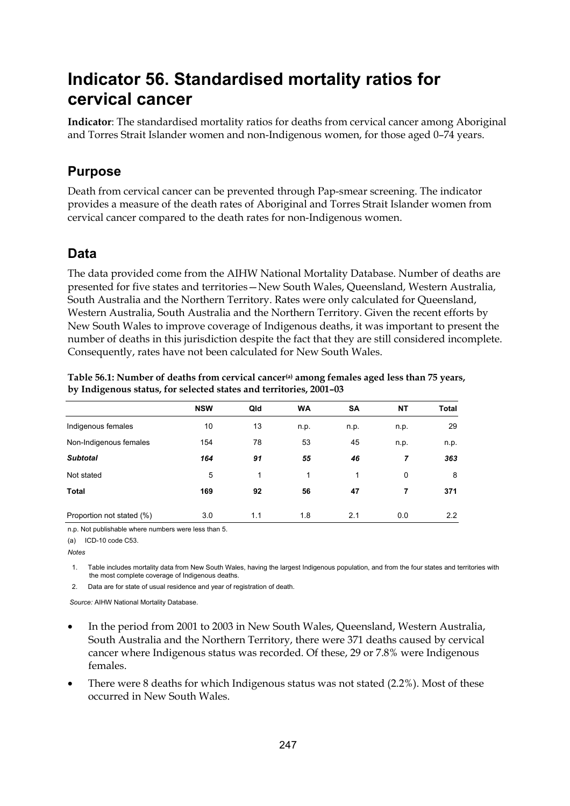# **Indicator 56. Standardised mortality ratios for cervical cancer**

**Indicator**: The standardised mortality ratios for deaths from cervical cancer among Aboriginal and Torres Strait Islander women and non-Indigenous women, for those aged 0–74 years.

## **Purpose**

Death from cervical cancer can be prevented through Pap-smear screening. The indicator provides a measure of the death rates of Aboriginal and Torres Strait Islander women from cervical cancer compared to the death rates for non-Indigenous women.

## **Data**

The data provided come from the AIHW National Mortality Database. Number of deaths are presented for five states and territories—New South Wales, Queensland, Western Australia, South Australia and the Northern Territory. Rates were only calculated for Queensland, Western Australia, South Australia and the Northern Territory. Given the recent efforts by New South Wales to improve coverage of Indigenous deaths, it was important to present the number of deaths in this jurisdiction despite the fact that they are still considered incomplete. Consequently, rates have not been calculated for New South Wales.

|                           | <b>NSW</b> | Qld | <b>WA</b> | <b>SA</b> | <b>NT</b> | <b>Total</b> |
|---------------------------|------------|-----|-----------|-----------|-----------|--------------|
| Indigenous females        | 10         | 13  | n.p.      | n.p.      | n.p.      | 29           |
| Non-Indigenous females    | 154        | 78  | 53        | 45        | n.p.      | n.p.         |
| <b>Subtotal</b>           | 164        | 91  | 55        | 46        | 7         | 363          |
| Not stated                | 5          | 1   | 1         | 1         | 0         | 8            |
| <b>Total</b>              | 169        | 92  | 56        | 47        | 7         | 371          |
| Proportion not stated (%) | 3.0        | 1.1 | 1.8       | 2.1       | 0.0       | 2.2          |

Table 56.1: Number of deaths from cervical cancer<sup>(a)</sup> among females aged less than 75 years, **by Indigenous status, for selected states and territories, 2001–03** 

n.p. Not publishable where numbers were less than 5.

(a) ICD-10 code C53.

*Notes* 

1. Table includes mortality data from New South Wales, having the largest Indigenous population, and from the four states and territories with the most complete coverage of Indigenous deaths.

2. Data are for state of usual residence and year of registration of death.

- In the period from 2001 to 2003 in New South Wales, Queensland, Western Australia, South Australia and the Northern Territory, there were 371 deaths caused by cervical cancer where Indigenous status was recorded. Of these, 29 or 7.8% were Indigenous females.
- There were 8 deaths for which Indigenous status was not stated (2.2%). Most of these occurred in New South Wales.